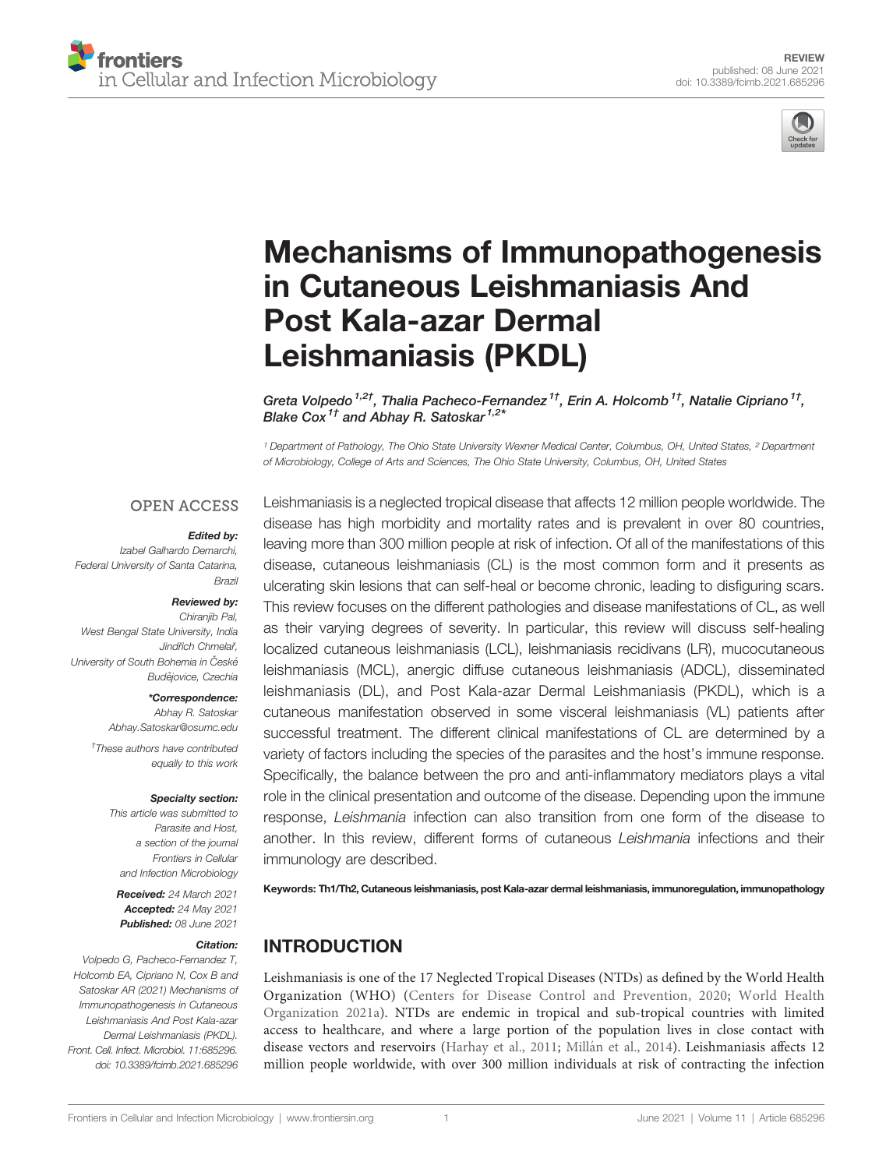

# [Mechanisms of Immunopathogenesis](https://www.frontiersin.org/articles/10.3389/fcimb.2021.685296/full) [in Cutaneous Leishmaniasis And](https://www.frontiersin.org/articles/10.3389/fcimb.2021.685296/full) [Post Kala-azar Dermal](https://www.frontiersin.org/articles/10.3389/fcimb.2021.685296/full) [Leishmaniasis \(PKDL\)](https://www.frontiersin.org/articles/10.3389/fcimb.2021.685296/full)

Greta Volpedo <sup>1,2†</sup>. Thalia Pacheco-Fernandez <sup>1†</sup>. Erin A. Holcomb <sup>1†</sup>. Natalie Cipriano <sup>1†</sup>. Blake Cox<sup>1†</sup> and Abhay R. Satoskar<sup>1,2\*</sup>

<sup>1</sup> Department of Pathology, The Ohio State University Wexner Medical Center, Columbus, OH, United States, <sup>2</sup> Department of Microbiology, College of Arts and Sciences, The Ohio State University, Columbus, OH, United States

#### **OPEN ACCESS**

#### Edited by:

Izabel Galhardo Demarchi, Federal University of Santa Catarina, Brazil

#### Reviewed by:

Chiraniib Pal. West Bengal State University, India Jindřich Chmelař University of South Bohemia in České Budějovice, Czechia

\*Correspondence:

Abhay R. Satoskar [Abhay.Satoskar@osumc.edu](mailto:Abhay.Satoskar@osumc.edu)

† These authors have contributed equally to this work

#### Specialty section:

This article was submitted to Parasite and Host, a section of the journal Frontiers in Cellular and Infection Microbiology

Received: 24 March 2021 Accepted: 24 May 2021 Published: 08 June 2021

#### Citation:

Volpedo G, Pacheco-Fernandez T, Holcomb EA, Cipriano N, Cox B and Satoskar AR (2021) Mechanisms of Immunopathogenesis in Cutaneous Leishmaniasis And Post Kala-azar Dermal Leishmaniasis (PKDL). Front. Cell. Infect. Microbiol. 11:685296. [doi: 10.3389/fcimb.2021.685296](https://doi.org/10.3389/fcimb.2021.685296)

Leishmaniasis is a neglected tropical disease that affects 12 million people worldwide. The disease has high morbidity and mortality rates and is prevalent in over 80 countries, leaving more than 300 million people at risk of infection. Of all of the manifestations of this disease, cutaneous leishmaniasis (CL) is the most common form and it presents as ulcerating skin lesions that can self-heal or become chronic, leading to disfiguring scars. This review focuses on the different pathologies and disease manifestations of CL, as well as their varying degrees of severity. In particular, this review will discuss self-healing localized cutaneous leishmaniasis (LCL), leishmaniasis recidivans (LR), mucocutaneous leishmaniasis (MCL), anergic diffuse cutaneous leishmaniasis (ADCL), disseminated leishmaniasis (DL), and Post Kala-azar Dermal Leishmaniasis (PKDL), which is a cutaneous manifestation observed in some visceral leishmaniasis (VL) patients after successful treatment. The different clinical manifestations of CL are determined by a variety of factors including the species of the parasites and the host's immune response. Specifically, the balance between the pro and anti-inflammatory mediators plays a vital role in the clinical presentation and outcome of the disease. Depending upon the immune response, Leishmania infection can also transition from one form of the disease to another. In this review, different forms of cutaneous Leishmania infections and their immunology are described.

Keywords: Th1/Th2, Cutaneous leishmaniasis, post Kala-azar dermal leishmaniasis, immunoregulation, immunopathology

# INTRODUCTION

Leishmaniasis is one of the 17 Neglected Tropical Diseases (NTDs) as defined by the World Health Organization (WHO) ([Centers for Disease Control and Prevention, 2020](#page-11-0); [World Health](#page-15-0) [Organization 2021a](#page-15-0)). NTDs are endemic in tropical and sub-tropical countries with limited access to healthcare, and where a large portion of the population lives in close contact with disease vectors and reservoirs [\(Harhay et al., 2011;](#page-12-0) Millá[n et al., 2014\)](#page-13-0). Leishmaniasis affects 12 million people worldwide, with over 300 million individuals at risk of contracting the infection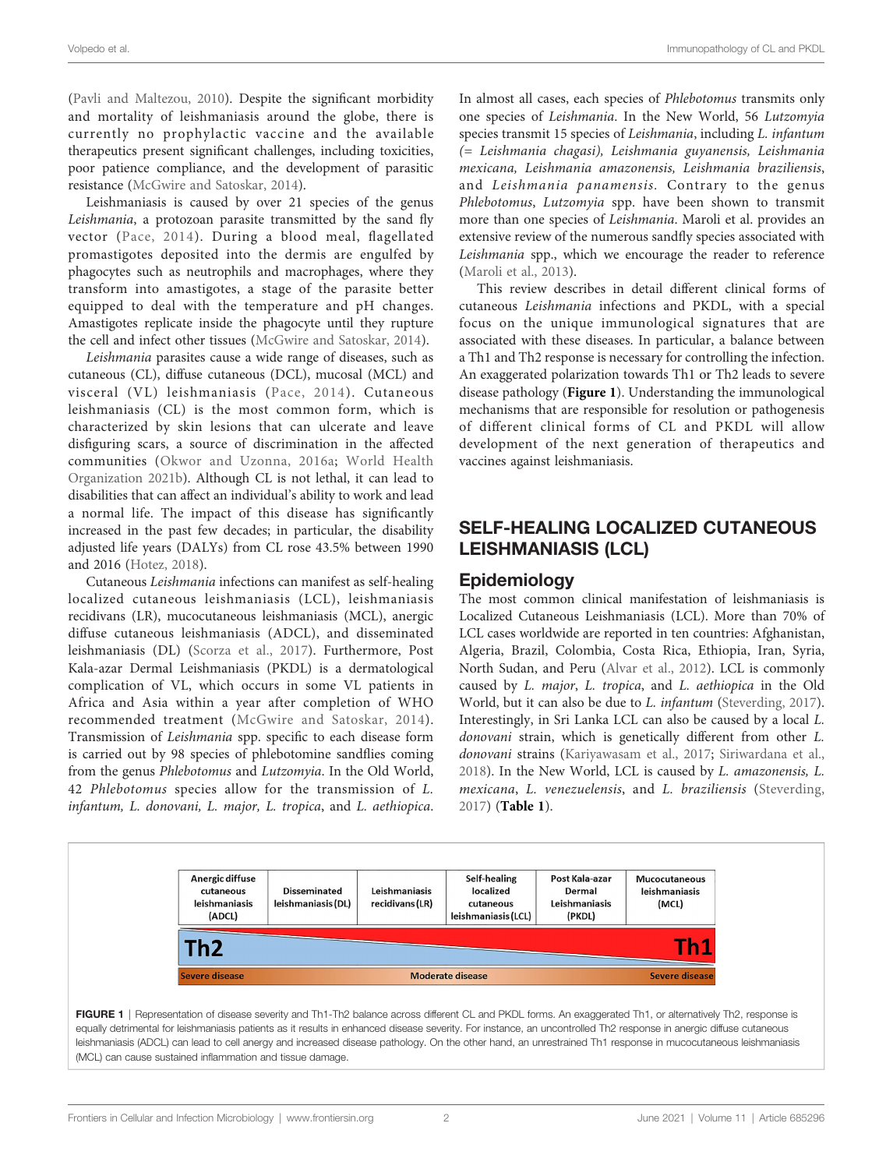<span id="page-1-0"></span>([Pavli and Maltezou, 2010\)](#page-13-0). Despite the significant morbidity and mortality of leishmaniasis around the globe, there is currently no prophylactic vaccine and the available therapeutics present significant challenges, including toxicities, poor patience compliance, and the development of parasitic resistance [\(McGwire and Satoskar, 2014\)](#page-13-0).

Leishmaniasis is caused by over 21 species of the genus Leishmania, a protozoan parasite transmitted by the sand fly vector ([Pace, 2014\)](#page-13-0). During a blood meal, flagellated promastigotes deposited into the dermis are engulfed by phagocytes such as neutrophils and macrophages, where they transform into amastigotes, a stage of the parasite better equipped to deal with the temperature and pH changes. Amastigotes replicate inside the phagocyte until they rupture the cell and infect other tissues [\(McGwire and Satoskar, 2014\)](#page-13-0).

Leishmania parasites cause a wide range of diseases, such as cutaneous (CL), diffuse cutaneous (DCL), mucosal (MCL) and visceral (VL) leishmaniasis ([Pace, 2014\)](#page-13-0). Cutaneous leishmaniasis (CL) is the most common form, which is characterized by skin lesions that can ulcerate and leave disfiguring scars, a source of discrimination in the affected communities ([Okwor and Uzonna, 2016a](#page-13-0); [World Health](#page-15-0) [Organization 2021b\)](#page-15-0). Although CL is not lethal, it can lead to disabilities that can affect an individual's ability to work and lead a normal life. The impact of this disease has significantly increased in the past few decades; in particular, the disability adjusted life years (DALYs) from CL rose 43.5% between 1990 and 2016 ([Hotez, 2018\)](#page-12-0).

Cutaneous Leishmania infections can manifest as self-healing localized cutaneous leishmaniasis (LCL), leishmaniasis recidivans (LR), mucocutaneous leishmaniasis (MCL), anergic diffuse cutaneous leishmaniasis (ADCL), and disseminated leishmaniasis (DL) ([Scorza et al., 2017](#page-14-0)). Furthermore, Post Kala-azar Dermal Leishmaniasis (PKDL) is a dermatological complication of VL, which occurs in some VL patients in Africa and Asia within a year after completion of WHO recommended treatment ([McGwire and Satoskar, 2014](#page-13-0)). Transmission of Leishmania spp. specific to each disease form is carried out by 98 species of phlebotomine sandflies coming from the genus Phlebotomus and Lutzomyia. In the Old World, 42 Phlebotomus species allow for the transmission of L. infantum, L. donovani, L. major, L. tropica, and L. aethiopica.

In almost all cases, each species of Phlebotomus transmits only one species of Leishmania. In the New World, 56 Lutzomyia species transmit 15 species of Leishmania, including L. infantum (= Leishmania chagasi), Leishmania guyanensis, Leishmania mexicana, Leishmania amazonensis, Leishmania braziliensis, and Leishmania panamensis. Contrary to the genus Phlebotomus, Lutzomyia spp. have been shown to transmit more than one species of Leishmania. Maroli et al. provides an extensive review of the numerous sandfly species associated with Leishmania spp., which we encourage the reader to reference [\(Maroli et al., 2013](#page-13-0)).

This review describes in detail different clinical forms of cutaneous Leishmania infections and PKDL, with a special focus on the unique immunological signatures that are associated with these diseases. In particular, a balance between a Th1 and Th2 response is necessary for controlling the infection. An exaggerated polarization towards Th1 or Th2 leads to severe disease pathology (Figure 1). Understanding the immunological mechanisms that are responsible for resolution or pathogenesis of different clinical forms of CL and PKDL will allow development of the next generation of therapeutics and vaccines against leishmaniasis.

# SELF-HEALING LOCALIZED CUTANEOUS LEISHMANIASIS (LCL)

#### Epidemiology

The most common clinical manifestation of leishmaniasis is Localized Cutaneous Leishmaniasis (LCL). More than 70% of LCL cases worldwide are reported in ten countries: Afghanistan, Algeria, Brazil, Colombia, Costa Rica, Ethiopia, Iran, Syria, North Sudan, and Peru [\(Alvar et al., 2012](#page-10-0)). LCL is commonly caused by L. major, L. tropica, and L. aethiopica in the Old World, but it can also be due to L. infantum ([Steverding, 2017\)](#page-14-0). Interestingly, in Sri Lanka LCL can also be caused by a local L. donovani strain, which is genetically different from other L. donovani strains ([Kariyawasam et al., 2017](#page-12-0); [Siriwardana et al.,](#page-14-0) [2018](#page-14-0)). In the New World, LCL is caused by L. amazonensis, L. mexicana, L. venezuelensis, and L. braziliensis [\(Steverding,](#page-14-0) [2017](#page-14-0)) ([Table 1](#page-2-0)).

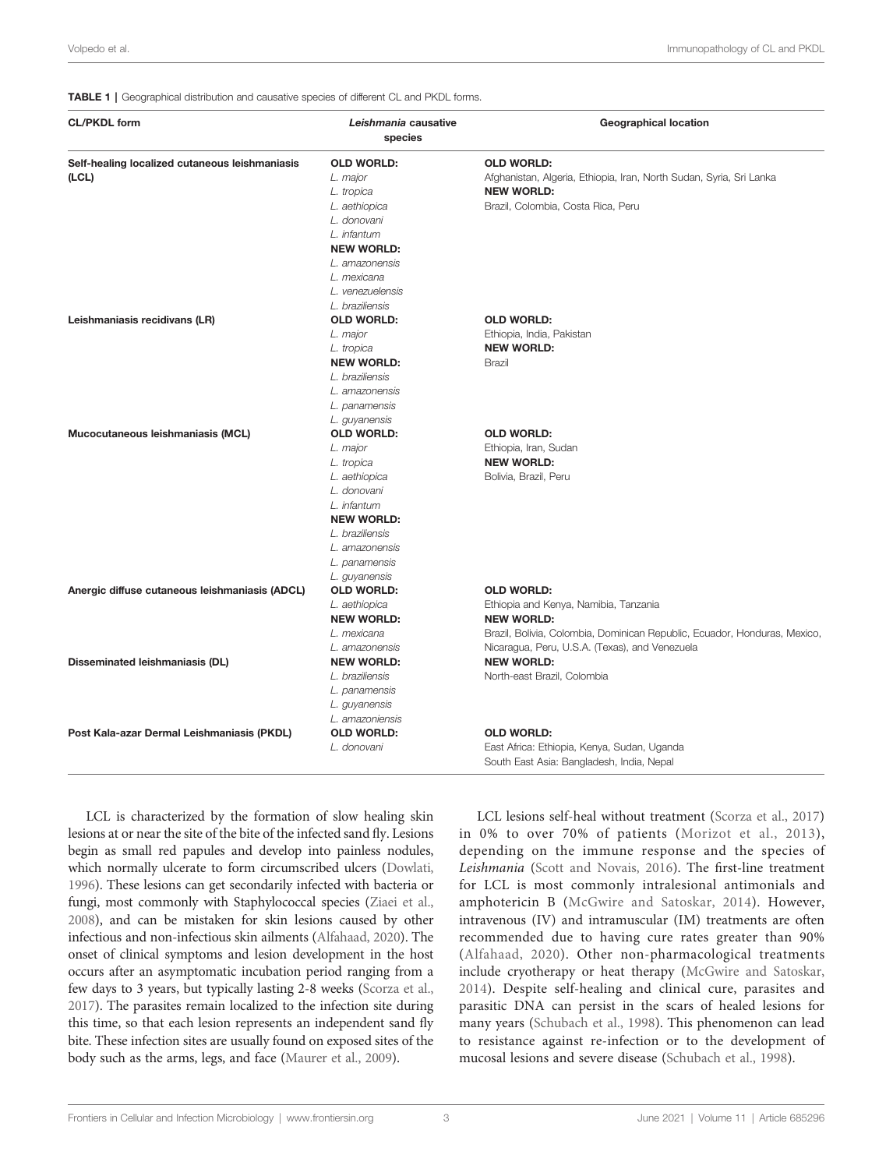#### <span id="page-2-0"></span>TABLE 1 | Geographical distribution and causative species of different CL and PKDL forms.

| <b>CL/PKDL form</b>                                     | Leishmania causative<br>species | <b>Geographical location</b>                                                             |
|---------------------------------------------------------|---------------------------------|------------------------------------------------------------------------------------------|
| Self-healing localized cutaneous leishmaniasis<br>(LCL) | <b>OLD WORLD:</b><br>L. major   | <b>OLD WORLD:</b><br>Afghanistan, Algeria, Ethiopia, Iran, North Sudan, Syria, Sri Lanka |
|                                                         | L. tropica                      | <b>NEW WORLD:</b>                                                                        |
|                                                         | L. aethiopica                   | Brazil, Colombia, Costa Rica, Peru                                                       |
|                                                         | L. donovani                     |                                                                                          |
|                                                         | L. infantum                     |                                                                                          |
|                                                         | <b>NEW WORLD:</b>               |                                                                                          |
|                                                         | L. amazonensis                  |                                                                                          |
|                                                         | L. mexicana                     |                                                                                          |
|                                                         | L. venezuelensis                |                                                                                          |
|                                                         | L. braziliensis                 |                                                                                          |
| Leishmaniasis recidivans (LR)                           | <b>OLD WORLD:</b>               | <b>OLD WORLD:</b>                                                                        |
|                                                         | L. major                        | Ethiopia, India, Pakistan                                                                |
|                                                         | L. tropica                      | <b>NEW WORLD:</b>                                                                        |
|                                                         | <b>NEW WORLD:</b>               | Brazil                                                                                   |
|                                                         | L. braziliensis                 |                                                                                          |
|                                                         | L. amazonensis                  |                                                                                          |
|                                                         | L. panamensis                   |                                                                                          |
|                                                         | L. guyanensis                   |                                                                                          |
| Mucocutaneous leishmaniasis (MCL)                       | <b>OLD WORLD:</b>               | <b>OLD WORLD:</b>                                                                        |
|                                                         | L. major                        | Ethiopia, Iran, Sudan                                                                    |
|                                                         | L. tropica                      | <b>NEW WORLD:</b>                                                                        |
|                                                         | L. aethiopica                   | Bolivia, Brazil, Peru                                                                    |
|                                                         | L. donovani                     |                                                                                          |
|                                                         | L. infantum                     |                                                                                          |
|                                                         | <b>NEW WORLD:</b>               |                                                                                          |
|                                                         | L. braziliensis                 |                                                                                          |
|                                                         | L. amazonensis                  |                                                                                          |
|                                                         | L. panamensis                   |                                                                                          |
|                                                         | L. guyanensis                   |                                                                                          |
| Anergic diffuse cutaneous leishmaniasis (ADCL)          | <b>OLD WORLD:</b>               | <b>OLD WORLD:</b>                                                                        |
|                                                         | L. aethiopica                   | Ethiopia and Kenya, Namibia, Tanzania                                                    |
|                                                         | <b>NEW WORLD:</b>               | <b>NEW WORLD:</b>                                                                        |
|                                                         | L. mexicana                     | Brazil, Bolivia, Colombia, Dominican Republic, Ecuador, Honduras, Mexico,                |
|                                                         | L. amazonensis                  | Nicaragua, Peru, U.S.A. (Texas), and Venezuela                                           |
| Disseminated leishmaniasis (DL)                         | <b>NEW WORLD:</b>               | <b>NEW WORLD:</b>                                                                        |
|                                                         | L. braziliensis                 | North-east Brazil, Colombia                                                              |
|                                                         | L. panamensis                   |                                                                                          |
|                                                         | L. guyanensis                   |                                                                                          |
|                                                         | L. amazoniensis                 |                                                                                          |
| Post Kala-azar Dermal Leishmaniasis (PKDL)              | <b>OLD WORLD:</b>               | <b>OLD WORLD:</b>                                                                        |
|                                                         | L. donovani                     | East Africa: Ethiopia, Kenya, Sudan, Uganda<br>South East Asia: Bangladesh, India, Nepal |

LCL is characterized by the formation of slow healing skin lesions at or near the site of the bite of the infected sand fly. Lesions begin as small red papules and develop into painless nodules, which normally ulcerate to form circumscribed ulcers ([Dowlati,](#page-11-0) [1996](#page-11-0)). These lesions can get secondarily infected with bacteria or fungi, most commonly with Staphylococcal species ([Ziaei et al.,](#page-15-0) [2008](#page-15-0)), and can be mistaken for skin lesions caused by other infectious and non-infectious skin ailments [\(Alfahaad, 2020\)](#page-10-0). The onset of clinical symptoms and lesion development in the host occurs after an asymptomatic incubation period ranging from a few days to 3 years, but typically lasting 2-8 weeks [\(Scorza et al.,](#page-14-0) [2017](#page-14-0)). The parasites remain localized to the infection site during this time, so that each lesion represents an independent sand fly bite. These infection sites are usually found on exposed sites of the body such as the arms, legs, and face [\(Maurer et al., 2009](#page-13-0)).

in 0% to over 70% of patients ([Morizot et al., 2013](#page-13-0)), depending on the immune response and the species of Leishmania [\(Scott and Novais, 2016\)](#page-14-0). The first-line treatment for LCL is most commonly intralesional antimonials and amphotericin B ([McGwire and Satoskar, 2014](#page-13-0)). However, intravenous (IV) and intramuscular (IM) treatments are often recommended due to having cure rates greater than 90% ([Alfahaad, 2020\)](#page-10-0). Other non-pharmacological treatments include cryotherapy or heat therapy [\(McGwire and Satoskar,](#page-13-0) [2014\)](#page-13-0). Despite self-healing and clinical cure, parasites and parasitic DNA can persist in the scars of healed lesions for many years [\(Schubach et al., 1998\)](#page-14-0). This phenomenon can lead to resistance against re-infection or to the development of mucosal lesions and severe disease [\(Schubach et al., 1998](#page-14-0)).

LCL lesions self-heal without treatment ([Scorza et al., 2017\)](#page-14-0)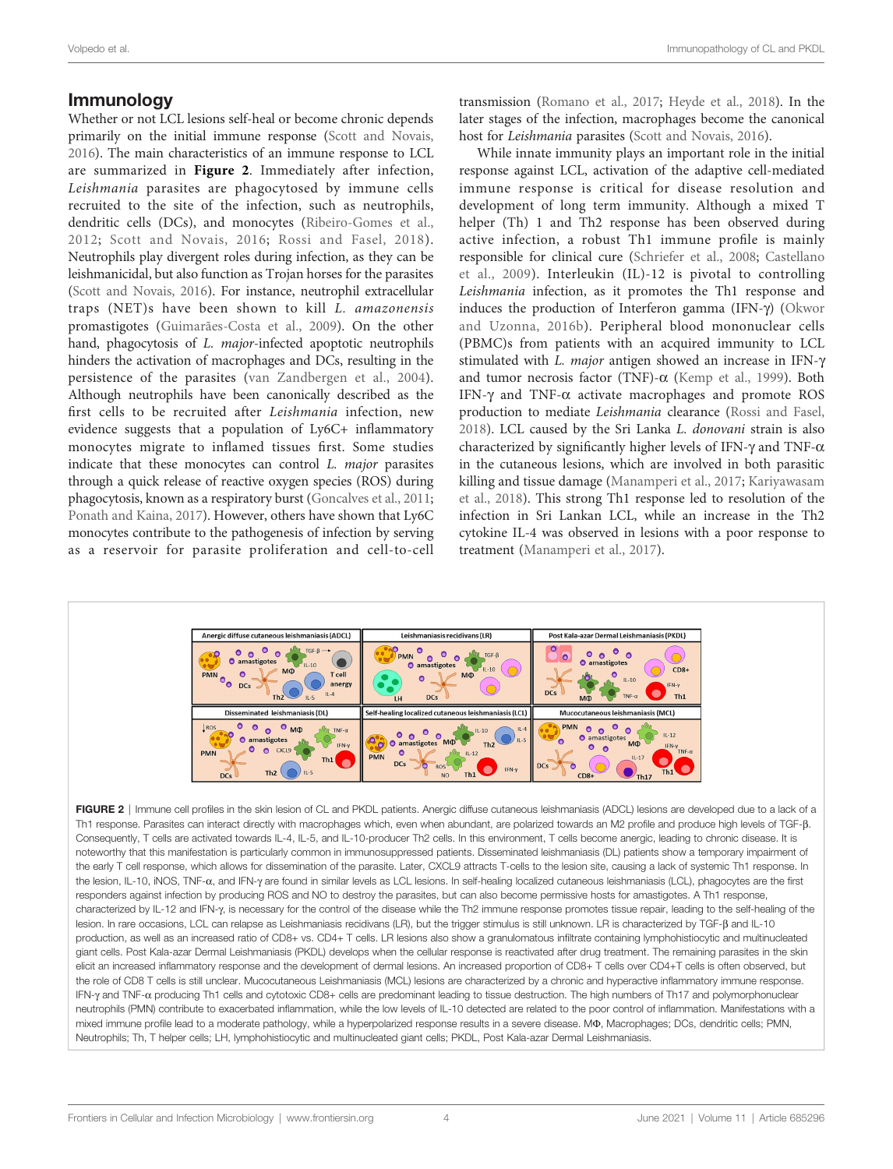# <span id="page-3-0"></span>Immunology

Whether or not LCL lesions self-heal or become chronic depends primarily on the initial immune response [\(Scott and Novais,](#page-14-0) [2016](#page-14-0)). The main characteristics of an immune response to LCL are summarized in Figure 2. Immediately after infection, Leishmania parasites are phagocytosed by immune cells recruited to the site of the infection, such as neutrophils, dendritic cells (DCs), and monocytes [\(Ribeiro-Gomes et al.,](#page-14-0) [2012](#page-14-0); [Scott and Novais, 2016;](#page-14-0) [Rossi and Fasel, 2018](#page-14-0)). Neutrophils play divergent roles during infection, as they can be leishmanicidal, but also function as Trojan horses for the parasites ([Scott and Novais, 2016](#page-14-0)). For instance, neutrophil extracellular traps (NET)s have been shown to kill L. amazonensis promastigotes [\(Guimarães-Costa et al., 2009\)](#page-12-0). On the other hand, phagocytosis of *L. major*-infected apoptotic neutrophils hinders the activation of macrophages and DCs, resulting in the persistence of the parasites ([van Zandbergen et al., 2004\)](#page-14-0). Although neutrophils have been canonically described as the first cells to be recruited after Leishmania infection, new evidence suggests that a population of Ly6C+ inflammatory monocytes migrate to inflamed tissues first. Some studies indicate that these monocytes can control L. major parasites through a quick release of reactive oxygen species (ROS) during phagocytosis, known as a respiratory burst ([Goncalves et al., 2011](#page-12-0); [Ponath and Kaina, 2017](#page-14-0)). However, others have shown that Ly6C monocytes contribute to the pathogenesis of infection by serving as a reservoir for parasite proliferation and cell-to-cell

transmission [\(Romano et al., 2017;](#page-14-0) [Heyde et al., 2018\)](#page-12-0). In the later stages of the infection, macrophages become the canonical host for Leishmania parasites ([Scott and Novais, 2016\)](#page-14-0).

While innate immunity plays an important role in the initial response against LCL, activation of the adaptive cell-mediated immune response is critical for disease resolution and development of long term immunity. Although a mixed T helper (Th) 1 and Th2 response has been observed during active infection, a robust Th1 immune profile is mainly responsible for clinical cure ([Schriefer et al., 2008](#page-14-0); [Castellano](#page-11-0) [et al., 2009](#page-11-0)). Interleukin (IL)-12 is pivotal to controlling Leishmania infection, as it promotes the Th1 response and induces the production of Interferon gamma (IFN-γ) ([Okwor](#page-13-0) [and Uzonna, 2016b](#page-13-0)). Peripheral blood mononuclear cells (PBMC)s from patients with an acquired immunity to LCL stimulated with L. *major* antigen showed an increase in IFN- $\gamma$ and tumor necrosis factor (TNF)- $\alpha$  ([Kemp et al., 1999\)](#page-12-0). Both IFN- $\gamma$  and TNF- $\alpha$  activate macrophages and promote ROS production to mediate Leishmania clearance [\(Rossi and Fasel,](#page-14-0) [2018](#page-14-0)). LCL caused by the Sri Lanka L. donovani strain is also characterized by significantly higher levels of IFN- $\gamma$  and TNF- $\alpha$ in the cutaneous lesions, which are involved in both parasitic killing and tissue damage [\(Manamperi et al., 2017;](#page-13-0) [Kariyawasam](#page-12-0) [et al., 2018\)](#page-12-0). This strong Th1 response led to resolution of the infection in Sri Lankan LCL, while an increase in the Th2 cytokine IL-4 was observed in lesions with a poor response to treatment [\(Manamperi et al., 2017\)](#page-13-0).



FIGURE 2 | Immune cell profiles in the skin lesion of CL and PKDL patients. Anergic diffuse cutaneous leishmaniasis (ADCL) lesions are developed due to a lack of a Th1 response. Parasites can interact directly with macrophages which, even when abundant, are polarized towards an M2 profile and produce high levels of TGF-ß. Consequently, T cells are activated towards IL-4, IL-5, and IL-10-producer Th2 cells. In this environment, T cells become anergic, leading to chronic disease. It is noteworthy that this manifestation is particularly common in immunosuppressed patients. Disseminated leishmaniasis (DL) patients show a temporary impairment of the early T cell response, which allows for dissemination of the parasite. Later, CXCL9 attracts T-cells to the lesion site, causing a lack of systemic Th1 response. In the lesion, IL-10, iNOS, TNF- $\alpha$ , and IFN-y are found in similar levels as LCL lesions. In self-healing localized cutaneous leishmaniasis (LCL), phagocytes are the first responders against infection by producing ROS and NO to destroy the parasites, but can also become permissive hosts for amastigotes. A Th1 response, characterized by IL-12 and IFN-y, is necessary for the control of the disease while the Th2 immune response promotes tissue repair, leading to the self-healing of the lesion. In rare occasions, LCL can relapse as Leishmaniasis recidivans (LR), but the trigger stimulus is still unknown. LR is characterized by TGF-ß and IL-10 production, as well as an increased ratio of CD8+ vs. CD4+ T cells. LR lesions also show a granulomatous infiltrate containing lymphohistiocytic and multinucleated giant cells. Post Kala-azar Dermal Leishmaniasis (PKDL) develops when the cellular response is reactivated after drug treatment. The remaining parasites in the skin elicit an increased inflammatory response and the development of dermal lesions. An increased proportion of CD8+ T cells over CD4+T cells is often observed, but the role of CD8 T cells is still unclear. Mucocutaneous Leishmaniasis (MCL) lesions are characterized by a chronic and hyperactive inflammatory immune response. IFN-γ and TNF-α producing Th1 cells and cytotoxic CD8+ cells are predominant leading to tissue destruction. The high numbers of Th17 and polymorphonuclear neutrophils (PMN) contribute to exacerbated inflammation, while the low levels of IL-10 detected are related to the poor control of inflammation. Manifestations with a mixed immune profile lead to a moderate pathology, while a hyperpolarized response results in a severe disease. M®, Macrophages; DCs, dendritic cells; PMN, Neutrophils; Th, T helper cells; LH, lymphohistiocytic and multinucleated giant cells; PKDL, Post Kala-azar Dermal Leishmaniasis.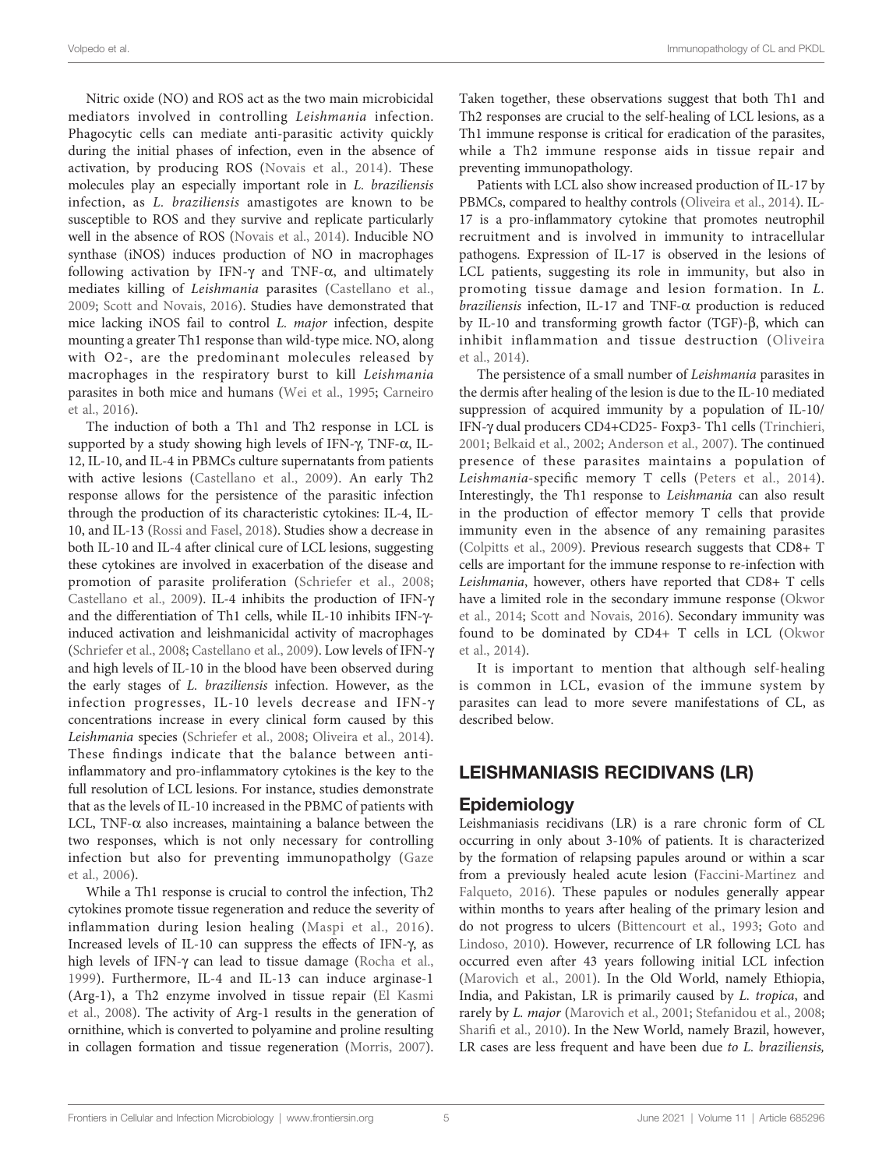Nitric oxide (NO) and ROS act as the two main microbicidal mediators involved in controlling Leishmania infection. Phagocytic cells can mediate anti-parasitic activity quickly during the initial phases of infection, even in the absence of activation, by producing ROS ([Novais et al., 2014\)](#page-13-0). These molecules play an especially important role in L. braziliensis infection, as L. braziliensis amastigotes are known to be susceptible to ROS and they survive and replicate particularly well in the absence of ROS [\(Novais et al., 2014\)](#page-13-0). Inducible NO synthase (iNOS) induces production of NO in macrophages following activation by IFN- $\gamma$  and TNF- $\alpha$ , and ultimately mediates killing of Leishmania parasites ([Castellano et al.,](#page-11-0) [2009;](#page-11-0) [Scott and Novais, 2016\)](#page-14-0). Studies have demonstrated that mice lacking iNOS fail to control L. major infection, despite mounting a greater Th1 response than wild-type mice. NO, along with O2-, are the predominant molecules released by macrophages in the respiratory burst to kill Leishmania parasites in both mice and humans ([Wei et al., 1995](#page-15-0); [Carneiro](#page-11-0) [et al., 2016\)](#page-11-0).

The induction of both a Th1 and Th2 response in LCL is supported by a study showing high levels of IFN- $\gamma$ , TNF- $\alpha$ , IL-12, IL-10, and IL-4 in PBMCs culture supernatants from patients with active lesions ([Castellano et al., 2009](#page-11-0)). An early Th2 response allows for the persistence of the parasitic infection through the production of its characteristic cytokines: IL-4, IL-10, and IL-13 ([Rossi and Fasel, 2018\)](#page-14-0). Studies show a decrease in both IL-10 and IL-4 after clinical cure of LCL lesions, suggesting these cytokines are involved in exacerbation of the disease and promotion of parasite proliferation ([Schriefer et al., 2008](#page-14-0); [Castellano et al., 2009](#page-11-0)). IL-4 inhibits the production of IFN-g and the differentiation of Th1 cells, while IL-10 inhibits IFN- $\gamma$ induced activation and leishmanicidal activity of macrophages ([Schriefer et al., 2008;](#page-14-0) [Castellano et al., 2009](#page-11-0)). Low levels of IFN-g and high levels of IL-10 in the blood have been observed during the early stages of L. braziliensis infection. However, as the infection progresses, IL-10 levels decrease and IFN-g concentrations increase in every clinical form caused by this Leishmania species ([Schriefer et al., 2008](#page-14-0); [Oliveira et al., 2014\)](#page-13-0). These findings indicate that the balance between antiinflammatory and pro-inflammatory cytokines is the key to the full resolution of LCL lesions. For instance, studies demonstrate that as the levels of IL-10 increased in the PBMC of patients with LCL, TNF- $\alpha$  also increases, maintaining a balance between the two responses, which is not only necessary for controlling infection but also for preventing immunopatholgy [\(Gaze](#page-12-0) [et al., 2006\)](#page-12-0).

While a Th1 response is crucial to control the infection, Th2 cytokines promote tissue regeneration and reduce the severity of inflammation during lesion healing ([Maspi et al., 2016](#page-13-0)). Increased levels of IL-10 can suppress the effects of IFN- $\gamma$ , as high levels of IFN- $\gamma$  can lead to tissue damage ([Rocha et al.,](#page-14-0) [1999](#page-14-0)). Furthermore, IL-4 and IL-13 can induce arginase-1 (Arg-1), a Th2 enzyme involved in tissue repair [\(El Kasmi](#page-11-0) [et al., 2008](#page-11-0)). The activity of Arg-1 results in the generation of ornithine, which is converted to polyamine and proline resulting in collagen formation and tissue regeneration [\(Morris, 2007\)](#page-13-0).

Taken together, these observations suggest that both Th1 and Th2 responses are crucial to the self-healing of LCL lesions, as a Th1 immune response is critical for eradication of the parasites, while a Th2 immune response aids in tissue repair and preventing immunopathology.

Patients with LCL also show increased production of IL-17 by PBMCs, compared to healthy controls [\(Oliveira et al., 2014\)](#page-13-0). IL-17 is a pro-inflammatory cytokine that promotes neutrophil recruitment and is involved in immunity to intracellular pathogens. Expression of IL-17 is observed in the lesions of LCL patients, suggesting its role in immunity, but also in promoting tissue damage and lesion formation. In L. braziliensis infection, IL-17 and TNF- $\alpha$  production is reduced by IL-10 and transforming growth factor (TGF)- $\beta$ , which can inhibit inflammation and tissue destruction ([Oliveira](#page-13-0) [et al., 2014\)](#page-13-0).

The persistence of a small number of Leishmania parasites in the dermis after healing of the lesion is due to the IL-10 mediated suppression of acquired immunity by a population of IL-10/ IFN-g dual producers CD4+CD25- Foxp3- Th1 cells ([Trinchieri,](#page-14-0) [2001](#page-14-0); [Belkaid et al., 2002;](#page-11-0) [Anderson et al., 2007](#page-11-0)). The continued presence of these parasites maintains a population of Leishmania-specific memory T cells [\(Peters et al., 2014](#page-13-0)). Interestingly, the Th1 response to Leishmania can also result in the production of effector memory T cells that provide immunity even in the absence of any remaining parasites [\(Colpitts et al., 2009](#page-11-0)). Previous research suggests that CD8+ T cells are important for the immune response to re-infection with Leishmania, however, others have reported that CD8+ T cells have a limited role in the secondary immune response ([Okwor](#page-13-0) [et al., 2014;](#page-13-0) [Scott and Novais, 2016\)](#page-14-0). Secondary immunity was found to be dominated by CD4+ T cells in LCL ([Okwor](#page-13-0) [et al., 2014\)](#page-13-0).

It is important to mention that although self-healing is common in LCL, evasion of the immune system by parasites can lead to more severe manifestations of CL, as described below.

# LEISHMANIASIS RECIDIVANS (LR)

### **Epidemiology**

Leishmaniasis recidivans (LR) is a rare chronic form of CL occurring in only about 3-10% of patients. It is characterized by the formation of relapsing papules around or within a scar from a previously healed acute lesion [\(Faccini-Mart](#page-11-0)ínez and [Falqueto, 2016\)](#page-11-0). These papules or nodules generally appear within months to years after healing of the primary lesion and do not progress to ulcers ([Bittencourt et al., 1993;](#page-11-0) [Goto and](#page-12-0) [Lindoso, 2010\)](#page-12-0). However, recurrence of LR following LCL has occurred even after 43 years following initial LCL infection [\(Marovich et al., 2001\)](#page-13-0). In the Old World, namely Ethiopia, India, and Pakistan, LR is primarily caused by L. tropica, and rarely by L. major ([Marovich et al., 2001;](#page-13-0) [Stefanidou et al., 2008;](#page-14-0) Sharifi [et al., 2010\)](#page-14-0). In the New World, namely Brazil, however, LR cases are less frequent and have been due to L. braziliensis,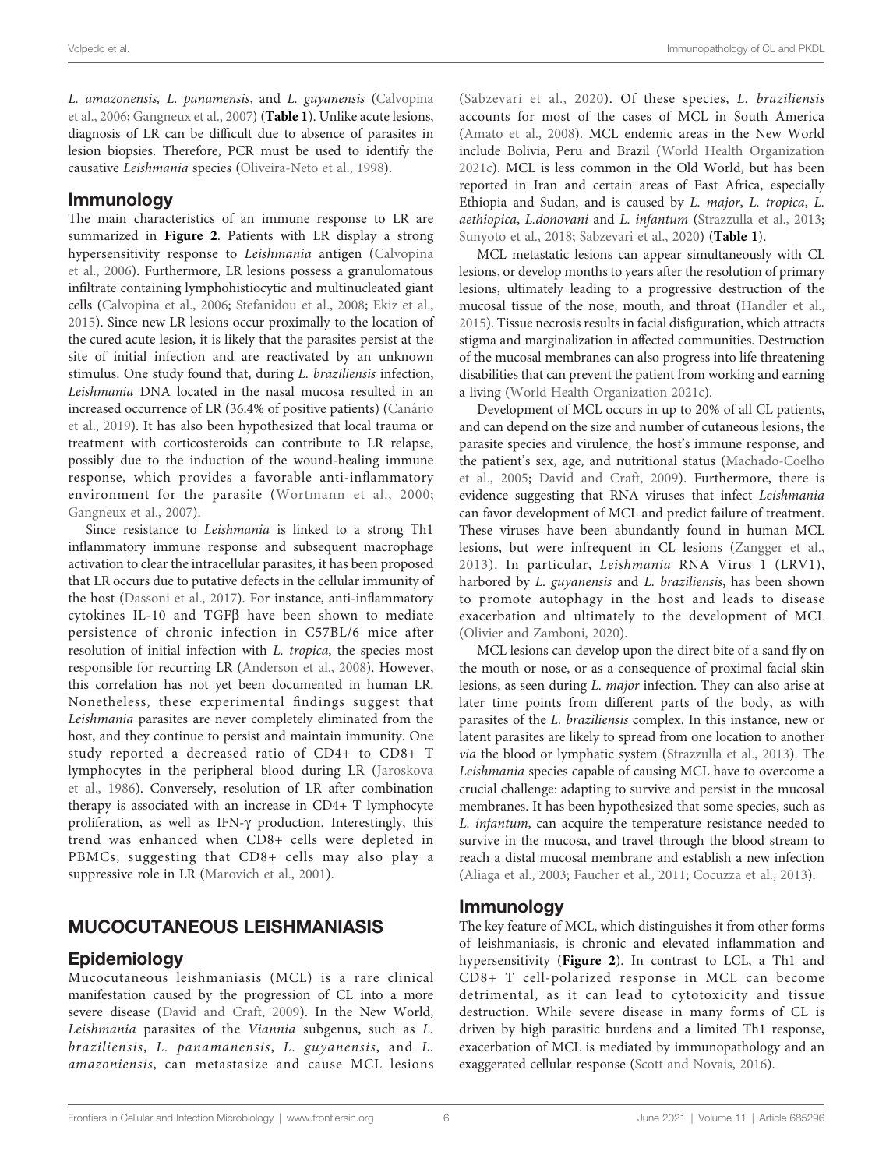L. amazonensis, L. panamensis, and L. guyanensis ([Calvopina](#page-11-0) [et al., 2006;](#page-11-0) [Gangneux et al., 2007](#page-12-0)) ([Table 1](#page-2-0)). Unlike acute lesions, diagnosis of LR can be difficult due to absence of parasites in lesion biopsies. Therefore, PCR must be used to identify the causative Leishmania species [\(Oliveira-Neto et al., 1998](#page-13-0)).

# Immunology

The main characteristics of an immune response to LR are summarized in [Figure 2](#page-3-0). Patients with LR display a strong hypersensitivity response to Leishmania antigen ([Calvopina](#page-11-0) [et al., 2006\)](#page-11-0). Furthermore, LR lesions possess a granulomatous infiltrate containing lymphohistiocytic and multinucleated giant cells [\(Calvopina et al., 2006](#page-11-0); [Stefanidou et al., 2008](#page-14-0); [Ekiz et al.,](#page-11-0) [2015\)](#page-11-0). Since new LR lesions occur proximally to the location of the cured acute lesion, it is likely that the parasites persist at the site of initial infection and are reactivated by an unknown stimulus. One study found that, during L. braziliensis infection, Leishmania DNA located in the nasal mucosa resulted in an increased occurrence of LR (36.4% of positive patients) (Canário [et al., 2019](#page-11-0)). It has also been hypothesized that local trauma or treatment with corticosteroids can contribute to LR relapse, possibly due to the induction of the wound-healing immune response, which provides a favorable anti-inflammatory environment for the parasite ([Wortmann et al., 2000](#page-15-0); [Gangneux et al., 2007\)](#page-12-0).

Since resistance to Leishmania is linked to a strong Th1 inflammatory immune response and subsequent macrophage activation to clear the intracellular parasites, it has been proposed that LR occurs due to putative defects in the cellular immunity of the host ([Dassoni et al., 2017](#page-11-0)). For instance, anti-inflammatory cytokines IL-10 and TGF $\beta$  have been shown to mediate persistence of chronic infection in C57BL/6 mice after resolution of initial infection with L. tropica, the species most responsible for recurring LR [\(Anderson et al., 2008](#page-11-0)). However, this correlation has not yet been documented in human LR. Nonetheless, these experimental findings suggest that Leishmania parasites are never completely eliminated from the host, and they continue to persist and maintain immunity. One study reported a decreased ratio of CD4+ to CD8+ T lymphocytes in the peripheral blood during LR [\(Jaroskova](#page-12-0) [et al., 1986](#page-12-0)). Conversely, resolution of LR after combination therapy is associated with an increase in CD4+ T lymphocyte proliferation, as well as IFN- $\gamma$  production. Interestingly, this trend was enhanced when CD8+ cells were depleted in PBMCs, suggesting that CD8+ cells may also play a suppressive role in LR ([Marovich et al., 2001](#page-13-0)).

# MUCOCUTANEOUS LEISHMANIASIS

# Epidemiology

Mucocutaneous leishmaniasis (MCL) is a rare clinical manifestation caused by the progression of CL into a more severe disease [\(David and Craft, 2009\)](#page-11-0). In the New World, Leishmania parasites of the Viannia subgenus, such as L. braziliensis, L. panamanensis, L. guyanensis, and L. amazoniensis, can metastasize and cause MCL lesions ([Sabzevari et al., 2020\)](#page-14-0). Of these species, L. braziliensis accounts for most of the cases of MCL in South America [\(Amato et al., 2008](#page-11-0)). MCL endemic areas in the New World include Bolivia, Peru and Brazil ([World Health Organization](#page-15-0) [2021c](#page-15-0)). MCL is less common in the Old World, but has been reported in Iran and certain areas of East Africa, especially Ethiopia and Sudan, and is caused by L. major, L. tropica, L. aethiopica, L.donovani and L. infantum ([Strazzulla et al., 2013;](#page-14-0) [Sunyoto et al., 2018;](#page-14-0) [Sabzevari et al., 2020\)](#page-14-0) ([Table 1](#page-2-0)).

MCL metastatic lesions can appear simultaneously with CL lesions, or develop months to years after the resolution of primary lesions, ultimately leading to a progressive destruction of the mucosal tissue of the nose, mouth, and throat [\(Handler et al.,](#page-12-0) [2015](#page-12-0)). Tissue necrosis results in facial disfiguration, which attracts stigma and marginalization in affected communities. Destruction of the mucosal membranes can also progress into life threatening disabilities that can prevent the patient from working and earning a living [\(World Health Organization 2021c\)](#page-15-0).

Development of MCL occurs in up to 20% of all CL patients, and can depend on the size and number of cutaneous lesions, the parasite species and virulence, the host's immune response, and the patient's sex, age, and nutritional status [\(Machado-Coelho](#page-12-0) [et al., 2005](#page-12-0); [David and Craft, 2009](#page-11-0)). Furthermore, there is evidence suggesting that RNA viruses that infect Leishmania can favor development of MCL and predict failure of treatment. These viruses have been abundantly found in human MCL lesions, but were infrequent in CL lesions ([Zangger et al.,](#page-15-0) [2013\)](#page-15-0). In particular, Leishmania RNA Virus 1 (LRV1), harbored by L. guyanensis and L. braziliensis, has been shown to promote autophagy in the host and leads to disease exacerbation and ultimately to the development of MCL [\(Olivier and Zamboni, 2020](#page-13-0)).

MCL lesions can develop upon the direct bite of a sand fly on the mouth or nose, or as a consequence of proximal facial skin lesions, as seen during L. major infection. They can also arise at later time points from different parts of the body, as with parasites of the L. braziliensis complex. In this instance, new or latent parasites are likely to spread from one location to another via the blood or lymphatic system ([Strazzulla et al., 2013\)](#page-14-0). The Leishmania species capable of causing MCL have to overcome a crucial challenge: adapting to survive and persist in the mucosal membranes. It has been hypothesized that some species, such as L. infantum, can acquire the temperature resistance needed to survive in the mucosa, and travel through the blood stream to reach a distal mucosal membrane and establish a new infection [\(Aliaga et al., 2003;](#page-10-0) [Faucher et al., 2011](#page-12-0); [Cocuzza et al., 2013\)](#page-11-0).

### Immunology

The key feature of MCL, which distinguishes it from other forms of leishmaniasis, is chronic and elevated inflammation and hypersensitivity ([Figure 2](#page-3-0)). In contrast to LCL, a Th1 and CD8+ T cell-polarized response in MCL can become detrimental, as it can lead to cytotoxicity and tissue destruction. While severe disease in many forms of CL is driven by high parasitic burdens and a limited Th1 response, exacerbation of MCL is mediated by immunopathology and an exaggerated cellular response [\(Scott and Novais, 2016\)](#page-14-0).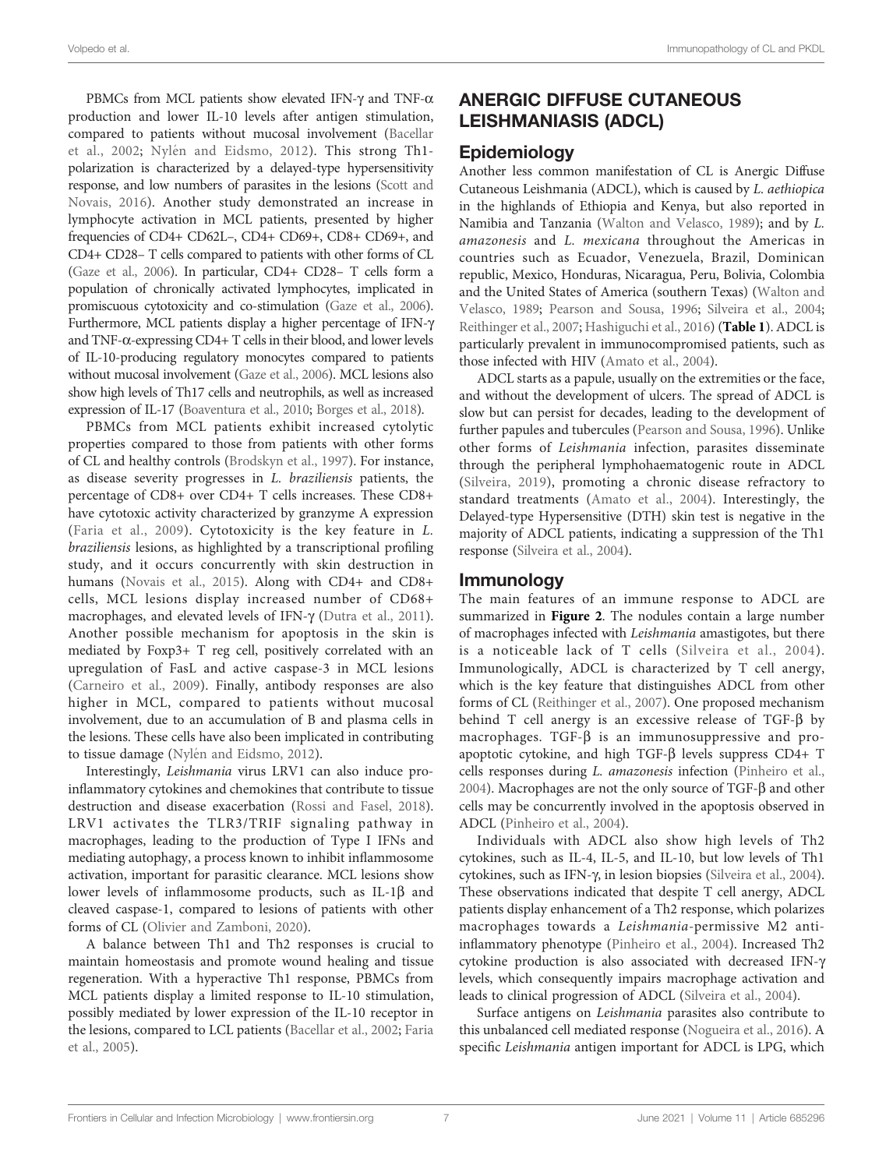PBMCs from MCL patients show elevated IFN- $\gamma$  and TNF- $\alpha$ production and lower IL-10 levels after antigen stimulation, compared to patients without mucosal involvement [\(Bacellar](#page-11-0) [et al., 2002](#page-11-0); Nylé[n and Eidsmo, 2012\)](#page-13-0). This strong Th1 polarization is characterized by a delayed-type hypersensitivity response, and low numbers of parasites in the lesions ([Scott and](#page-14-0) [Novais, 2016\)](#page-14-0). Another study demonstrated an increase in lymphocyte activation in MCL patients, presented by higher frequencies of CD4+ CD62L–, CD4+ CD69+, CD8+ CD69+, and CD4+ CD28– T cells compared to patients with other forms of CL [\(Gaze et al., 2006](#page-12-0)). In particular, CD4+ CD28– T cells form a population of chronically activated lymphocytes, implicated in promiscuous cytotoxicity and co-stimulation [\(Gaze et al., 2006\)](#page-12-0). Furthermore, MCL patients display a higher percentage of IFN-g and TNF-a-expressing CD4+ T cells in their blood, and lower levels of IL-10-producing regulatory monocytes compared to patients without mucosal involvement [\(Gaze et al., 2006\)](#page-12-0). MCL lesions also show high levels of Th17 cells and neutrophils, as well as increased expression of IL-17 [\(Boaventura et al., 2010](#page-11-0); [Borges et al., 2018\)](#page-11-0).

PBMCs from MCL patients exhibit increased cytolytic properties compared to those from patients with other forms of CL and healthy controls ([Brodskyn et al., 1997](#page-11-0)). For instance, as disease severity progresses in L. braziliensis patients, the percentage of CD8+ over CD4+ T cells increases. These CD8+ have cytotoxic activity characterized by granzyme A expression ([Faria et al., 2009\)](#page-12-0). Cytotoxicity is the key feature in L. braziliensis lesions, as highlighted by a transcriptional profiling study, and it occurs concurrently with skin destruction in humans ([Novais et al., 2015\)](#page-13-0). Along with CD4+ and CD8+ cells, MCL lesions display increased number of CD68+ macrophages, and elevated levels of IFN- $\gamma$  ([Dutra et al., 2011\)](#page-11-0). Another possible mechanism for apoptosis in the skin is mediated by Foxp3+ T reg cell, positively correlated with an upregulation of FasL and active caspase-3 in MCL lesions ([Carneiro et al., 2009\)](#page-11-0). Finally, antibody responses are also higher in MCL, compared to patients without mucosal involvement, due to an accumulation of B and plasma cells in the lesions. These cells have also been implicated in contributing to tissue damage (Nylé[n and Eidsmo, 2012\)](#page-13-0).

Interestingly, Leishmania virus LRV1 can also induce proinflammatory cytokines and chemokines that contribute to tissue destruction and disease exacerbation [\(Rossi and Fasel, 2018\)](#page-14-0). LRV1 activates the TLR3/TRIF signaling pathway in macrophages, leading to the production of Type I IFNs and mediating autophagy, a process known to inhibit inflammosome activation, important for parasitic clearance. MCL lesions show lower levels of inflammosome products, such as  $IL-1\beta$  and cleaved caspase-1, compared to lesions of patients with other forms of CL [\(Olivier and Zamboni, 2020\)](#page-13-0).

A balance between Th1 and Th2 responses is crucial to maintain homeostasis and promote wound healing and tissue regeneration. With a hyperactive Th1 response, PBMCs from MCL patients display a limited response to IL-10 stimulation, possibly mediated by lower expression of the IL-10 receptor in the lesions, compared to LCL patients [\(Bacellar et al., 2002;](#page-11-0) [Faria](#page-12-0) [et al., 2005\)](#page-12-0).

# ANERGIC DIFFUSE CUTANEOUS LEISHMANIASIS (ADCL)

# **Epidemiology**

Another less common manifestation of CL is Anergic Diffuse Cutaneous Leishmania (ADCL), which is caused by L. aethiopica in the highlands of Ethiopia and Kenya, but also reported in Namibia and Tanzania [\(Walton and Velasco, 1989\)](#page-15-0); and by L. amazonesis and L. mexicana throughout the Americas in countries such as Ecuador, Venezuela, Brazil, Dominican republic, Mexico, Honduras, Nicaragua, Peru, Bolivia, Colombia and the United States of America (southern Texas) ([Walton and](#page-15-0) [Velasco, 1989;](#page-15-0) [Pearson and Sousa, 1996](#page-13-0); [Silveira et al., 2004;](#page-14-0) [Reithinger et al., 2007](#page-14-0); [Hashiguchi et al., 2016\)](#page-12-0) ([Table 1](#page-2-0)). ADCL is particularly prevalent in immunocompromised patients, such as those infected with HIV ([Amato et al., 2004](#page-10-0)).

ADCL starts as a papule, usually on the extremities or the face, and without the development of ulcers. The spread of ADCL is slow but can persist for decades, leading to the development of further papules and tubercules [\(Pearson and Sousa, 1996](#page-13-0)). Unlike other forms of Leishmania infection, parasites disseminate through the peripheral lymphohaematogenic route in ADCL ([Silveira, 2019](#page-14-0)), promoting a chronic disease refractory to standard treatments [\(Amato et al., 2004\)](#page-10-0). Interestingly, the Delayed-type Hypersensitive (DTH) skin test is negative in the majority of ADCL patients, indicating a suppression of the Th1 response [\(Silveira et al., 2004](#page-14-0)).

### **Immunology**

The main features of an immune response to ADCL are summarized in [Figure 2](#page-3-0). The nodules contain a large number of macrophages infected with Leishmania amastigotes, but there is a noticeable lack of T cells ([Silveira et al., 2004](#page-14-0)). Immunologically, ADCL is characterized by T cell anergy, which is the key feature that distinguishes ADCL from other forms of CL [\(Reithinger et al., 2007\)](#page-14-0). One proposed mechanism behind  $T$  cell anergy is an excessive release of  $TGF-\beta$  by macrophages. TGF- $\beta$  is an immunosuppressive and proapoptotic cytokine, and high TGF- $\beta$  levels suppress CD4+ T cells responses during L. amazonesis infection ([Pinheiro et al.,](#page-14-0) [2004](#page-14-0)). Macrophages are not the only source of TGF- $\beta$  and other cells may be concurrently involved in the apoptosis observed in ADCL [\(Pinheiro et al., 2004\)](#page-14-0).

Individuals with ADCL also show high levels of Th2 cytokines, such as IL-4, IL-5, and IL-10, but low levels of Th1 cytokines, such as IFN-g, in lesion biopsies ([Silveira et al., 2004\)](#page-14-0). These observations indicated that despite T cell anergy, ADCL patients display enhancement of a Th2 response, which polarizes macrophages towards a Leishmania-permissive M2 antiinflammatory phenotype ([Pinheiro et al., 2004](#page-14-0)). Increased Th2 cytokine production is also associated with decreased IFN-g levels, which consequently impairs macrophage activation and leads to clinical progression of ADCL [\(Silveira et al., 2004](#page-14-0)).

Surface antigens on Leishmania parasites also contribute to this unbalanced cell mediated response ([Nogueira et al., 2016\)](#page-13-0). A specific Leishmania antigen important for ADCL is LPG, which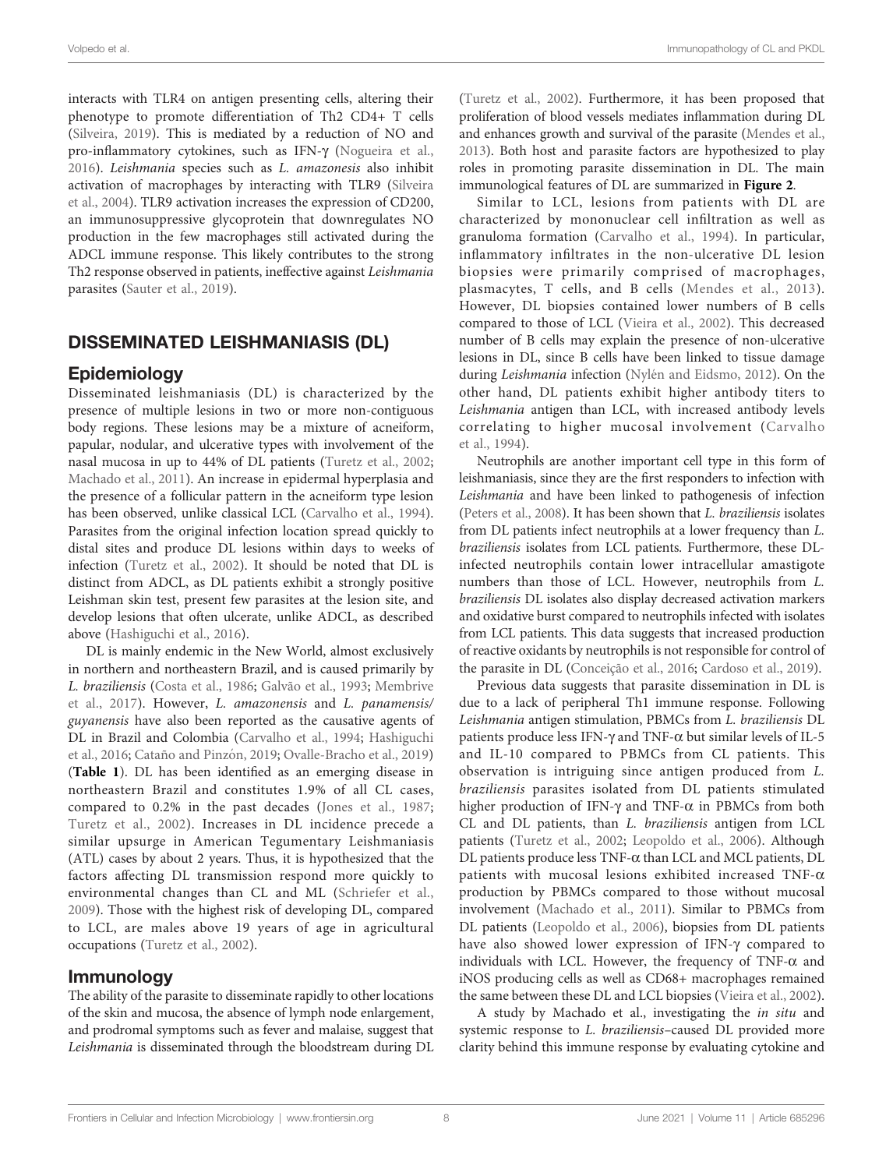interacts with TLR4 on antigen presenting cells, altering their phenotype to promote differentiation of Th2 CD4+ T cells ([Silveira, 2019\)](#page-14-0). This is mediated by a reduction of NO and pro-inflammatory cytokines, such as IFN- $\gamma$  ([Nogueira et al.,](#page-13-0) [2016\)](#page-13-0). Leishmania species such as L. amazonesis also inhibit activation of macrophages by interacting with TLR9 [\(Silveira](#page-14-0) [et al., 2004\)](#page-14-0). TLR9 activation increases the expression of CD200, an immunosuppressive glycoprotein that downregulates NO production in the few macrophages still activated during the ADCL immune response. This likely contributes to the strong Th2 response observed in patients, ineffective against Leishmania parasites [\(Sauter et al., 2019\)](#page-14-0).

# DISSEMINATED LEISHMANIASIS (DL)

### **Epidemiology**

Disseminated leishmaniasis (DL) is characterized by the presence of multiple lesions in two or more non-contiguous body regions. These lesions may be a mixture of acneiform, papular, nodular, and ulcerative types with involvement of the nasal mucosa in up to 44% of DL patients ([Turetz et al., 2002](#page-14-0); [Machado et al., 2011\)](#page-12-0). An increase in epidermal hyperplasia and the presence of a follicular pattern in the acneiform type lesion has been observed, unlike classical LCL [\(Carvalho et al., 1994\)](#page-11-0). Parasites from the original infection location spread quickly to distal sites and produce DL lesions within days to weeks of infection [\(Turetz et al., 2002\)](#page-14-0). It should be noted that DL is distinct from ADCL, as DL patients exhibit a strongly positive Leishman skin test, present few parasites at the lesion site, and develop lesions that often ulcerate, unlike ADCL, as described above [\(Hashiguchi et al., 2016\)](#page-12-0).

DL is mainly endemic in the New World, almost exclusively in northern and northeastern Brazil, and is caused primarily by L. braziliensis [\(Costa et al., 1986](#page-11-0); [Galvão et al., 1993](#page-12-0); [Membrive](#page-13-0) [et al., 2017\)](#page-13-0). However, L. amazonensis and L. panamensis/ guyanensis have also been reported as the causative agents of DL in Brazil and Colombia [\(Carvalho et al., 1994](#page-11-0); [Hashiguchi](#page-12-0) [et al., 2016](#page-12-0); Cataño and Pinzón, 2019; [Ovalle-Bracho et al., 2019\)](#page-13-0) ([Table 1](#page-2-0)). DL has been identified as an emerging disease in northeastern Brazil and constitutes 1.9% of all CL cases, compared to 0.2% in the past decades ([Jones et al., 1987](#page-12-0); [Turetz et al., 2002](#page-14-0)). Increases in DL incidence precede a similar upsurge in American Tegumentary Leishmaniasis (ATL) cases by about 2 years. Thus, it is hypothesized that the factors affecting DL transmission respond more quickly to environmental changes than CL and ML ([Schriefer et al.,](#page-14-0) [2009\)](#page-14-0). Those with the highest risk of developing DL, compared to LCL, are males above 19 years of age in agricultural occupations ([Turetz et al., 2002](#page-14-0)).

#### Immunology

The ability of the parasite to disseminate rapidly to other locations of the skin and mucosa, the absence of lymph node enlargement, and prodromal symptoms such as fever and malaise, suggest that Leishmania is disseminated through the bloodstream during DL

[\(Turetz et al., 2002\)](#page-14-0). Furthermore, it has been proposed that proliferation of blood vessels mediates inflammation during DL and enhances growth and survival of the parasite ([Mendes et al.,](#page-13-0) [2013](#page-13-0)). Both host and parasite factors are hypothesized to play roles in promoting parasite dissemination in DL. The main immunological features of DL are summarized in [Figure 2](#page-3-0).

Similar to LCL, lesions from patients with DL are characterized by mononuclear cell infiltration as well as granuloma formation ([Carvalho et al., 1994](#page-11-0)). In particular, inflammatory infiltrates in the non-ulcerative DL lesion biopsies were primarily comprised of macrophages, plasmacytes, T cells, and B cells ([Mendes et al., 2013](#page-13-0)). However, DL biopsies contained lower numbers of B cells compared to those of LCL [\(Vieira et al., 2002](#page-15-0)). This decreased number of B cells may explain the presence of non-ulcerative lesions in DL, since B cells have been linked to tissue damage during Leishmania infection (Nylé[n and Eidsmo, 2012\)](#page-13-0). On the other hand, DL patients exhibit higher antibody titers to Leishmania antigen than LCL, with increased antibody levels correlating to higher mucosal involvement ([Carvalho](#page-11-0) [et al., 1994\)](#page-11-0).

Neutrophils are another important cell type in this form of leishmaniasis, since they are the first responders to infection with Leishmania and have been linked to pathogenesis of infection [\(Peters et al., 2008\)](#page-13-0). It has been shown that L. braziliensis isolates from DL patients infect neutrophils at a lower frequency than L. braziliensis isolates from LCL patients. Furthermore, these DLinfected neutrophils contain lower intracellular amastigote numbers than those of LCL. However, neutrophils from L. braziliensis DL isolates also display decreased activation markers and oxidative burst compared to neutrophils infected with isolates from LCL patients. This data suggests that increased production of reactive oxidants by neutrophils is not responsible for control of the parasite in DL (Conceiç[ão et al., 2016;](#page-11-0) [Cardoso et al., 2019\)](#page-11-0).

Previous data suggests that parasite dissemination in DL is due to a lack of peripheral Th1 immune response. Following Leishmania antigen stimulation, PBMCs from L. braziliensis DL patients produce less IFN- $\gamma$  and TNF- $\alpha$  but similar levels of IL-5 and IL-10 compared to PBMCs from CL patients. This observation is intriguing since antigen produced from L. braziliensis parasites isolated from DL patients stimulated higher production of IFN- $\gamma$  and TNF- $\alpha$  in PBMCs from both CL and DL patients, than L. braziliensis antigen from LCL patients [\(Turetz et al., 2002;](#page-14-0) [Leopoldo et al., 2006\)](#page-12-0). Although  $DL$  patients produce less TNF- $\alpha$  than LCL and MCL patients, DL patients with mucosal lesions exhibited increased TNF- $\alpha$ production by PBMCs compared to those without mucosal involvement ([Machado et al., 2011\)](#page-12-0). Similar to PBMCs from DL patients [\(Leopoldo et al., 2006\)](#page-12-0), biopsies from DL patients have also showed lower expression of IFN- $\gamma$  compared to individuals with LCL. However, the frequency of TNF- $\alpha$  and iNOS producing cells as well as CD68+ macrophages remained the same between these DL and LCL biopsies ([Vieira et al., 2002\)](#page-15-0).

A study by Machado et al., investigating the in situ and systemic response to L. braziliensis–caused DL provided more clarity behind this immune response by evaluating cytokine and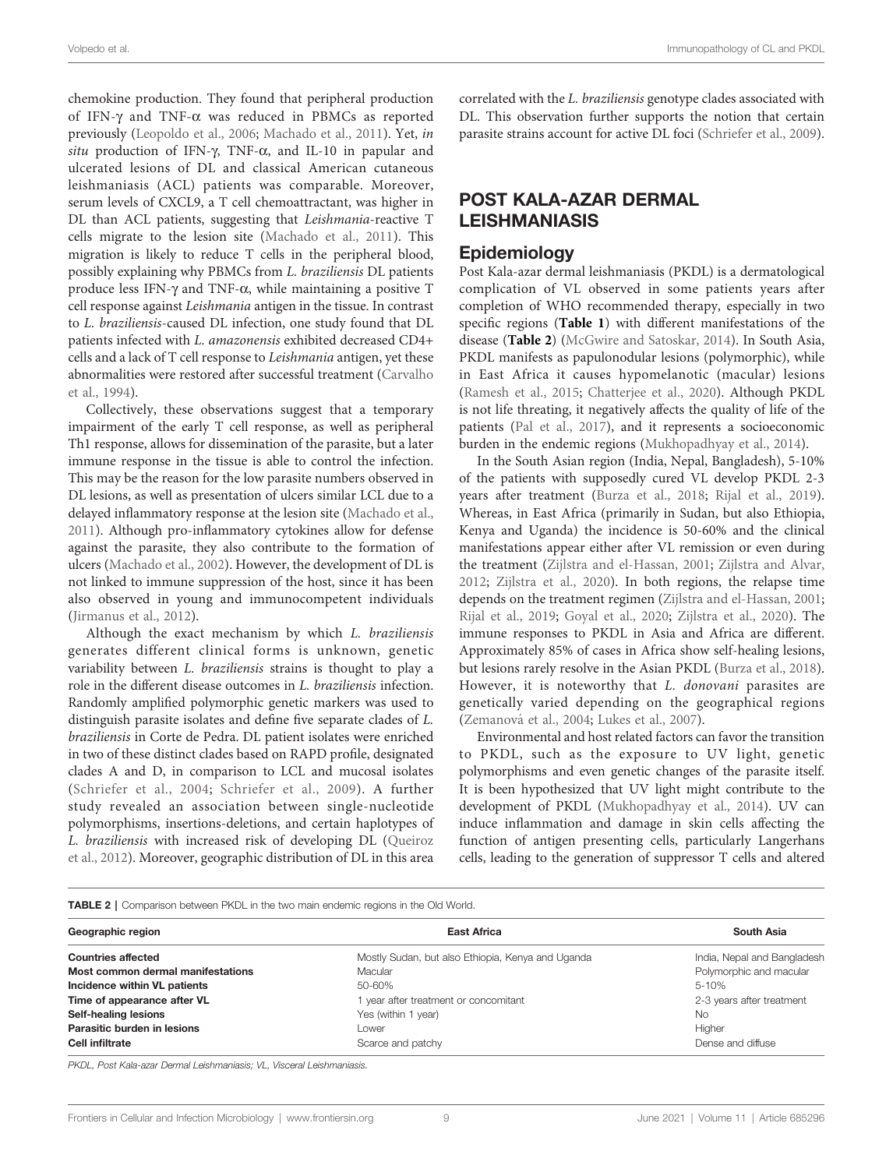chemokine production. They found that peripheral production of IFN- $\gamma$  and TNF- $\alpha$  was reduced in PBMCs as reported previously ([Leopoldo et al., 2006;](#page-12-0) [Machado et al., 2011\)](#page-12-0). Yet, in situ production of IFN- $\gamma$ , TNF- $\alpha$ , and IL-10 in papular and ulcerated lesions of DL and classical American cutaneous leishmaniasis (ACL) patients was comparable. Moreover, serum levels of CXCL9, a T cell chemoattractant, was higher in DL than ACL patients, suggesting that Leishmania-reactive T cells migrate to the lesion site ([Machado et al., 2011](#page-12-0)). This migration is likely to reduce T cells in the peripheral blood, possibly explaining why PBMCs from L. braziliensis DL patients produce less IFN- $\gamma$  and TNF- $\alpha$ , while maintaining a positive T cell response against Leishmania antigen in the tissue. In contrast to L. braziliensis-caused DL infection, one study found that DL patients infected with L. amazonensis exhibited decreased CD4+ cells and a lack of T cell response to Leishmania antigen, yet these abnormalities were restored after successful treatment ([Carvalho](#page-11-0) [et al., 1994\)](#page-11-0).

Collectively, these observations suggest that a temporary impairment of the early T cell response, as well as peripheral Th1 response, allows for dissemination of the parasite, but a later immune response in the tissue is able to control the infection. This may be the reason for the low parasite numbers observed in DL lesions, as well as presentation of ulcers similar LCL due to a delayed inflammatory response at the lesion site ([Machado et al.,](#page-12-0) [2011\)](#page-12-0). Although pro-inflammatory cytokines allow for defense against the parasite, they also contribute to the formation of ulcers ([Machado et al., 2002\)](#page-12-0). However, the development of DL is not linked to immune suppression of the host, since it has been also observed in young and immunocompetent individuals ([Jirmanus et al., 2012](#page-12-0)).

Although the exact mechanism by which L. braziliensis generates different clinical forms is unknown, genetic variability between L. braziliensis strains is thought to play a role in the different disease outcomes in L. braziliensis infection. Randomly amplified polymorphic genetic markers was used to distinguish parasite isolates and define five separate clades of L. braziliensis in Corte de Pedra. DL patient isolates were enriched in two of these distinct clades based on RAPD profile, designated clades A and D, in comparison to LCL and mucosal isolates ([Schriefer et al., 2004;](#page-14-0) [Schriefer et al., 2009\)](#page-14-0). A further study revealed an association between single-nucleotide polymorphisms, insertions-deletions, and certain haplotypes of L. braziliensis with increased risk of developing DL ([Queiroz](#page-14-0) [et al., 2012](#page-14-0)). Moreover, geographic distribution of DL in this area

correlated with the L. braziliensis genotype clades associated with DL. This observation further supports the notion that certain parasite strains account for active DL foci [\(Schriefer et al., 2009\)](#page-14-0).

# POST KALA-AZAR DERMAL LEISHMANIASIS

### **Epidemiology**

Post Kala-azar dermal leishmaniasis (PKDL) is a dermatological complication of VL observed in some patients years after completion of WHO recommended therapy, especially in two specific regions ([Table 1](#page-2-0)) with different manifestations of the disease (Table 2) [\(McGwire and Satoskar, 2014](#page-13-0)). In South Asia, PKDL manifests as papulonodular lesions (polymorphic), while in East Africa it causes hypomelanotic (macular) lesions [\(Ramesh et al., 2015](#page-14-0); [Chatterjee et al., 2020\)](#page-11-0). Although PKDL is not life threating, it negatively affects the quality of life of the patients ([Pal et al., 2017](#page-13-0)), and it represents a socioeconomic burden in the endemic regions [\(Mukhopadhyay et al., 2014](#page-13-0)).

In the South Asian region (India, Nepal, Bangladesh), 5-10% of the patients with supposedly cured VL develop PKDL 2-3 years after treatment ([Burza et al., 2018](#page-11-0); [Rijal et al., 2019\)](#page-14-0). Whereas, in East Africa (primarily in Sudan, but also Ethiopia, Kenya and Uganda) the incidence is 50-60% and the clinical manifestations appear either after VL remission or even during the treatment [\(Zijlstra and el-Hassan, 2001;](#page-15-0) [Zijlstra and Alvar,](#page-15-0) [2012](#page-15-0); [Zijlstra et al., 2020\)](#page-15-0). In both regions, the relapse time depends on the treatment regimen [\(Zijlstra and el-Hassan, 2001;](#page-15-0) [Rijal et al., 2019;](#page-14-0) [Goyal et al., 2020;](#page-12-0) [Zijlstra et al., 2020\)](#page-15-0). The immune responses to PKDL in Asia and Africa are different. Approximately 85% of cases in Africa show self-healing lesions, but lesions rarely resolve in the Asian PKDL ([Burza et al., 2018\)](#page-11-0). However, it is noteworthy that L. donovani parasites are genetically varied depending on the geographical regions (Zemanová [et al., 2004;](#page-15-0) [Lukes et al., 2007\)](#page-12-0).

Environmental and host related factors can favor the transition to PKDL, such as the exposure to UV light, genetic polymorphisms and even genetic changes of the parasite itself. It is been hypothesized that UV light might contribute to the development of PKDL ([Mukhopadhyay et al., 2014](#page-13-0)). UV can induce inflammation and damage in skin cells affecting the function of antigen presenting cells, particularly Langerhans cells, leading to the generation of suppressor T cells and altered

#### TABLE 2 | Comparison between PKDL in the two main endemic regions in the Old World.

| Geographic region                 | <b>East Africa</b>                                | South Asia<br>India, Nepal and Bangladesh |
|-----------------------------------|---------------------------------------------------|-------------------------------------------|
| <b>Countries affected</b>         | Mostly Sudan, but also Ethiopia, Kenya and Uganda |                                           |
| Most common dermal manifestations | Macular                                           | Polymorphic and macular                   |
| Incidence within VL patients      | 50-60%                                            | $5 - 10%$                                 |
| Time of appearance after VL       | 1 year after treatment or concomitant             | 2-3 years after treatment                 |
| Self-healing lesions              | Yes (within 1 year)                               | <b>No</b>                                 |
| Parasitic burden in lesions       | Lower                                             | Higher                                    |
| <b>Cell infiltrate</b>            | Scarce and patchy                                 | Dense and diffuse                         |

PKDL, Post Kala-azar Dermal Leishmaniasis; VL, Visceral Leishmaniasis.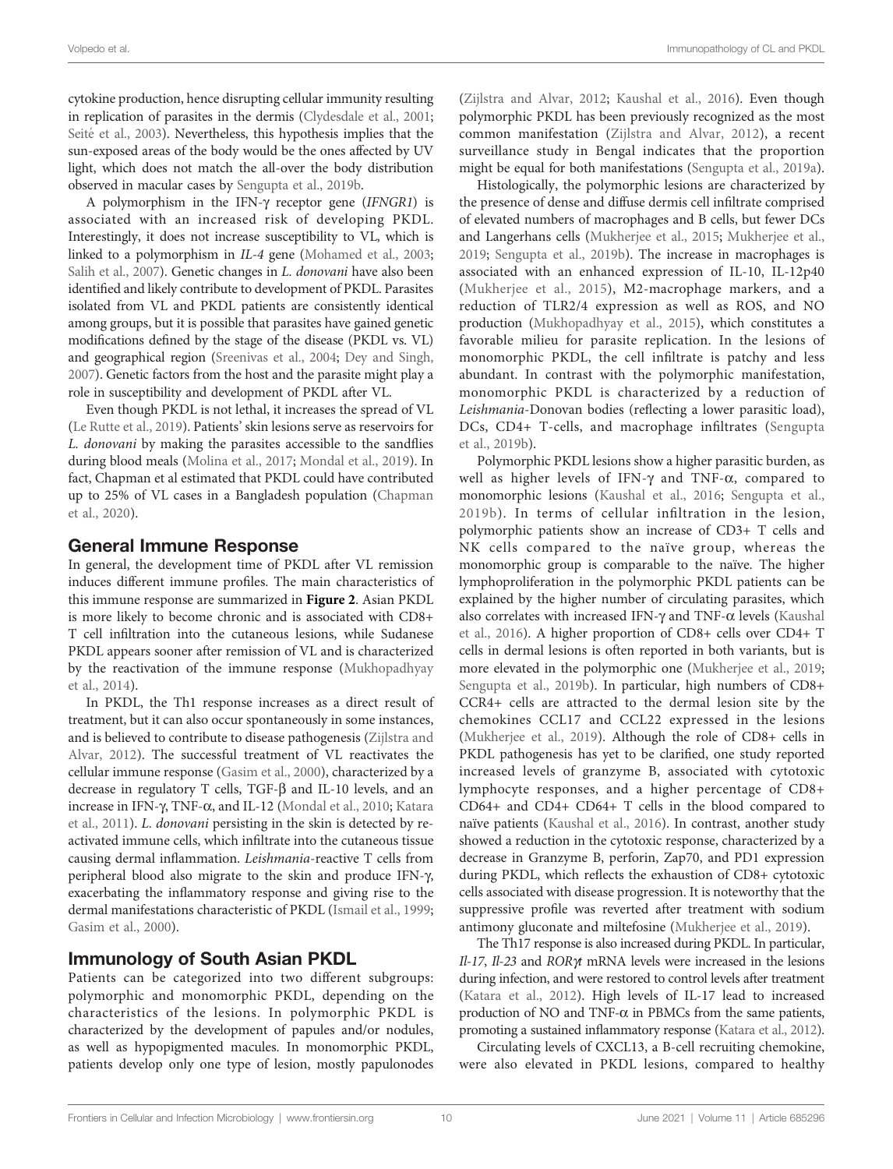cytokine production, hence disrupting cellular immunity resulting in replication of parasites in the dermis [\(Clydesdale et al., 2001](#page-11-0); Seité [et al., 2003\)](#page-14-0). Nevertheless, this hypothesis implies that the sun-exposed areas of the body would be the ones affected by UV light, which does not match the all-over the body distribution observed in macular cases by [Sengupta et al., 2019b.](#page-14-0)

A polymorphism in the IFN-g receptor gene (IFNGR1) is associated with an increased risk of developing PKDL. Interestingly, it does not increase susceptibility to VL, which is linked to a polymorphism in IL-4 gene [\(Mohamed et al., 2003](#page-13-0); [Salih et al., 2007](#page-14-0)). Genetic changes in *L. donovani* have also been identified and likely contribute to development of PKDL. Parasites isolated from VL and PKDL patients are consistently identical among groups, but it is possible that parasites have gained genetic modifications defined by the stage of the disease (PKDL vs. VL) and geographical region [\(Sreenivas et al., 2004](#page-14-0); [Dey and Singh,](#page-11-0) [2007](#page-11-0)). Genetic factors from the host and the parasite might play a role in susceptibility and development of PKDL after VL.

Even though PKDL is not lethal, it increases the spread of VL ([Le Rutte et al., 2019\)](#page-12-0). Patients' skin lesions serve as reservoirs for L. donovani by making the parasites accessible to the sandflies during blood meals ([Molina et al., 2017](#page-13-0); [Mondal et al., 2019\)](#page-13-0). In fact, Chapman et al estimated that PKDL could have contributed up to 25% of VL cases in a Bangladesh population ([Chapman](#page-11-0) [et al., 2020\)](#page-11-0).

# General Immune Response

In general, the development time of PKDL after VL remission induces different immune profiles. The main characteristics of this immune response are summarized in [Figure 2](#page-3-0). Asian PKDL is more likely to become chronic and is associated with CD8+ T cell infiltration into the cutaneous lesions, while Sudanese PKDL appears sooner after remission of VL and is characterized by the reactivation of the immune response [\(Mukhopadhyay](#page-13-0) [et al., 2014\)](#page-13-0).

In PKDL, the Th1 response increases as a direct result of treatment, but it can also occur spontaneously in some instances, and is believed to contribute to disease pathogenesis ([Zijlstra and](#page-15-0) [Alvar, 2012](#page-15-0)). The successful treatment of VL reactivates the cellular immune response ([Gasim et al., 2000\)](#page-12-0), characterized by a decrease in regulatory T cells, TGF-b and IL-10 levels, and an increase in IFN- $\gamma$ , TNF- $\alpha$ , and IL-12 [\(Mondal et al., 2010;](#page-13-0) [Katara](#page-12-0) [et al., 2011](#page-12-0)). L. donovani persisting in the skin is detected by reactivated immune cells, which infiltrate into the cutaneous tissue causing dermal inflammation. Leishmania-reactive T cells from peripheral blood also migrate to the skin and produce IFN-g, exacerbating the inflammatory response and giving rise to the dermal manifestations characteristic of PKDL [\(Ismail et al., 1999](#page-12-0); [Gasim et al., 2000](#page-12-0)).

# Immunology of South Asian PKDL

Patients can be categorized into two different subgroups: polymorphic and monomorphic PKDL, depending on the characteristics of the lesions. In polymorphic PKDL is characterized by the development of papules and/or nodules, as well as hypopigmented macules. In monomorphic PKDL, patients develop only one type of lesion, mostly papulonodes

[\(Zijlstra and Alvar, 2012;](#page-15-0) [Kaushal et al., 2016](#page-12-0)). Even though polymorphic PKDL has been previously recognized as the most common manifestation [\(Zijlstra and Alvar, 2012](#page-15-0)), a recent surveillance study in Bengal indicates that the proportion might be equal for both manifestations [\(Sengupta et al., 2019a\)](#page-14-0).

Histologically, the polymorphic lesions are characterized by the presence of dense and diffuse dermis cell infiltrate comprised of elevated numbers of macrophages and B cells, but fewer DCs and Langerhans cells ([Mukherjee et al., 2015;](#page-13-0) [Mukherjee et al.,](#page-13-0) [2019](#page-13-0); [Sengupta et al., 2019b\)](#page-14-0). The increase in macrophages is associated with an enhanced expression of IL-10, IL-12p40 ([Mukherjee et al., 2015](#page-13-0)), M2-macrophage markers, and a reduction of TLR2/4 expression as well as ROS, and NO production ([Mukhopadhyay et al., 2015](#page-13-0)), which constitutes a favorable milieu for parasite replication. In the lesions of monomorphic PKDL, the cell infiltrate is patchy and less abundant. In contrast with the polymorphic manifestation, monomorphic PKDL is characterized by a reduction of Leishmania-Donovan bodies (reflecting a lower parasitic load), DCs, CD4+ T-cells, and macrophage infiltrates ([Sengupta](#page-14-0) [et al., 2019b](#page-14-0)).

Polymorphic PKDL lesions show a higher parasitic burden, as well as higher levels of IFN- $\gamma$  and TNF- $\alpha$ , compared to monomorphic lesions ([Kaushal et al., 2016;](#page-12-0) [Sengupta et al.,](#page-14-0) [2019b\)](#page-14-0). In terms of cellular infiltration in the lesion, polymorphic patients show an increase of CD3+ T cells and NK cells compared to the naïve group, whereas the monomorphic group is comparable to the naïve. The higher lymphoproliferation in the polymorphic PKDL patients can be explained by the higher number of circulating parasites, which also correlates with increased IFN- $\gamma$  and TNF- $\alpha$  levels [\(Kaushal](#page-12-0) [et al., 2016\)](#page-12-0). A higher proportion of CD8+ cells over CD4+ T cells in dermal lesions is often reported in both variants, but is more elevated in the polymorphic one ([Mukherjee et al., 2019;](#page-13-0) [Sengupta et al., 2019b](#page-14-0)). In particular, high numbers of CD8+ CCR4+ cells are attracted to the dermal lesion site by the chemokines CCL17 and CCL22 expressed in the lesions [\(Mukherjee et al., 2019](#page-13-0)). Although the role of CD8+ cells in PKDL pathogenesis has yet to be clarified, one study reported increased levels of granzyme B, associated with cytotoxic lymphocyte responses, and a higher percentage of CD8+ CD64+ and CD4+ CD64+ T cells in the blood compared to naïve patients ([Kaushal et al., 2016](#page-12-0)). In contrast, another study showed a reduction in the cytotoxic response, characterized by a decrease in Granzyme B, perforin, Zap70, and PD1 expression during PKDL, which reflects the exhaustion of CD8+ cytotoxic cells associated with disease progression. It is noteworthy that the suppressive profile was reverted after treatment with sodium antimony gluconate and miltefosine [\(Mukherjee et al., 2019](#page-13-0)).

The Th17 response is also increased during PKDL. In particular, Il-17, Il-23 and ROR $\gamma$ t mRNA levels were increased in the lesions during infection, and were restored to control levels after treatment [\(Katara et al., 2012\)](#page-12-0). High levels of IL-17 lead to increased production of NO and TNF- $\alpha$  in PBMCs from the same patients, promoting a sustained inflammatory response ([Katara et al., 2012\)](#page-12-0).

Circulating levels of CXCL13, a B-cell recruiting chemokine, were also elevated in PKDL lesions, compared to healthy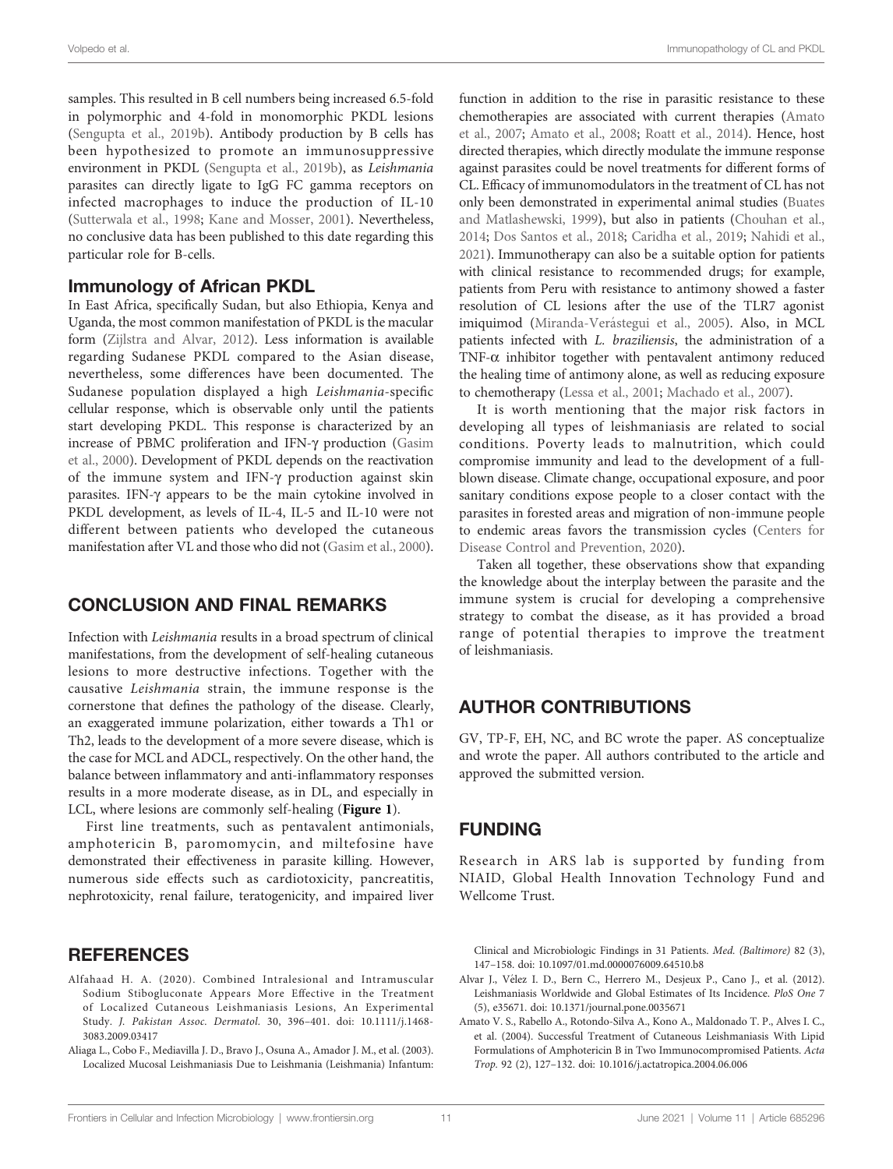<span id="page-10-0"></span>samples. This resulted in B cell numbers being increased 6.5-fold in polymorphic and 4-fold in monomorphic PKDL lesions ([Sengupta et al., 2019b\)](#page-14-0). Antibody production by B cells has been hypothesized to promote an immunosuppressive environment in PKDL [\(Sengupta et al., 2019b](#page-14-0)), as Leishmania parasites can directly ligate to IgG FC gamma receptors on infected macrophages to induce the production of IL-10 ([Sutterwala et al., 1998;](#page-14-0) [Kane and Mosser, 2001\)](#page-12-0). Nevertheless, no conclusive data has been published to this date regarding this particular role for B-cells.

#### Immunology of African PKDL

In East Africa, specifically Sudan, but also Ethiopia, Kenya and Uganda, the most common manifestation of PKDL is the macular form ([Zijlstra and Alvar, 2012\)](#page-15-0). Less information is available regarding Sudanese PKDL compared to the Asian disease, nevertheless, some differences have been documented. The Sudanese population displayed a high Leishmania-specific cellular response, which is observable only until the patients start developing PKDL. This response is characterized by an increase of PBMC proliferation and IFN-g production ([Gasim](#page-12-0) [et al., 2000](#page-12-0)). Development of PKDL depends on the reactivation of the immune system and IFN-g production against skin parasites. IFN- $\gamma$  appears to be the main cytokine involved in PKDL development, as levels of IL-4, IL-5 and IL-10 were not different between patients who developed the cutaneous manifestation after VL and those who did not ([Gasim et al., 2000\)](#page-12-0).

### CONCLUSION AND FINAL REMARKS

Infection with Leishmania results in a broad spectrum of clinical manifestations, from the development of self-healing cutaneous lesions to more destructive infections. Together with the causative Leishmania strain, the immune response is the cornerstone that defines the pathology of the disease. Clearly, an exaggerated immune polarization, either towards a Th1 or Th2, leads to the development of a more severe disease, which is the case for MCL and ADCL, respectively. On the other hand, the balance between inflammatory and anti-inflammatory responses results in a more moderate disease, as in DL, and especially in LCL, where lesions are commonly self-healing ([Figure 1](#page-1-0)).

First line treatments, such as pentavalent antimonials, amphotericin B, paromomycin, and miltefosine have demonstrated their effectiveness in parasite killing. However, numerous side effects such as cardiotoxicity, pancreatitis, nephrotoxicity, renal failure, teratogenicity, and impaired liver

#### **REFERENCES**

- Alfahaad H. A. (2020). Combined Intralesional and Intramuscular Sodium Stibogluconate Appears More Effective in the Treatment of Localized Cutaneous Leishmaniasis Lesions, An Experimental Study. J. Pakistan Assoc. Dermatol. 30, 396–401. doi: [10.1111/j.1468-](https://doi.org/10.1111/j.1468-3083.2009.03417) [3083.2009.03417](https://doi.org/10.1111/j.1468-3083.2009.03417)
- Aliaga L., Cobo F., Mediavilla J. D., Bravo J., Osuna A., Amador J. M., et al. (2003). Localized Mucosal Leishmaniasis Due to Leishmania (Leishmania) Infantum:

function in addition to the rise in parasitic resistance to these chemotherapies are associated with current therapies [\(Amato](#page-11-0) [et al., 2007](#page-11-0); [Amato et al., 2008;](#page-11-0) [Roatt et al., 2014\)](#page-14-0). Hence, host directed therapies, which directly modulate the immune response against parasites could be novel treatments for different forms of CL. Efficacy of immunomodulators in the treatment of CL has not only been demonstrated in experimental animal studies [\(Buates](#page-11-0) [and Matlashewski, 1999\)](#page-11-0), but also in patients [\(Chouhan et al.,](#page-11-0) [2014](#page-11-0); [Dos Santos et al., 2018](#page-11-0); [Caridha et al., 2019;](#page-11-0) [Nahidi et al.,](#page-13-0) [2021](#page-13-0)). Immunotherapy can also be a suitable option for patients with clinical resistance to recommended drugs; for example, patients from Peru with resistance to antimony showed a faster resolution of CL lesions after the use of the TLR7 agonist imiquimod (Miranda-Verá[stegui et al., 2005\)](#page-13-0). Also, in MCL patients infected with L. braziliensis, the administration of a TNF- $\alpha$  inhibitor together with pentavalent antimony reduced the healing time of antimony alone, as well as reducing exposure to chemotherapy [\(Lessa et al., 2001;](#page-12-0) [Machado et al., 2007\)](#page-12-0).

It is worth mentioning that the major risk factors in developing all types of leishmaniasis are related to social conditions. Poverty leads to malnutrition, which could compromise immunity and lead to the development of a fullblown disease. Climate change, occupational exposure, and poor sanitary conditions expose people to a closer contact with the parasites in forested areas and migration of non-immune people to endemic areas favors the transmission cycles [\(Centers for](#page-11-0) [Disease Control and Prevention, 2020\)](#page-11-0).

Taken all together, these observations show that expanding the knowledge about the interplay between the parasite and the immune system is crucial for developing a comprehensive strategy to combat the disease, as it has provided a broad range of potential therapies to improve the treatment of leishmaniasis.

# AUTHOR CONTRIBUTIONS

GV, TP-F, EH, NC, and BC wrote the paper. AS conceptualize and wrote the paper. All authors contributed to the article and approved the submitted version.

### FUNDING

Research in ARS lab is supported by funding from NIAID, Global Health Innovation Technology Fund and Wellcome Trust.

Clinical and Microbiologic Findings in 31 Patients. Med. (Baltimore) 82 (3), 147–158. doi: [10.1097/01.md.0000076009.64510.b8](https://doi.org/10.1097/01.md.0000076009.64510.b8)

- Alvar J., Vé lez I. D., Bern C., Herrero M., Desjeux P., Cano J., et al. (2012). Leishmaniasis Worldwide and Global Estimates of Its Incidence. PloS One 7 (5), e35671. doi: [10.1371/journal.pone.0035671](https://doi.org/10.1371/journal.pone.0035671)
- Amato V. S., Rabello A., Rotondo-Silva A., Kono A., Maldonado T. P., Alves I. C., et al. (2004). Successful Treatment of Cutaneous Leishmaniasis With Lipid Formulations of Amphotericin B in Two Immunocompromised Patients. Acta Trop. 92 (2), 127–132. doi: [10.1016/j.actatropica.2004.06.006](https://doi.org/10.1016/j.actatropica.2004.06.006)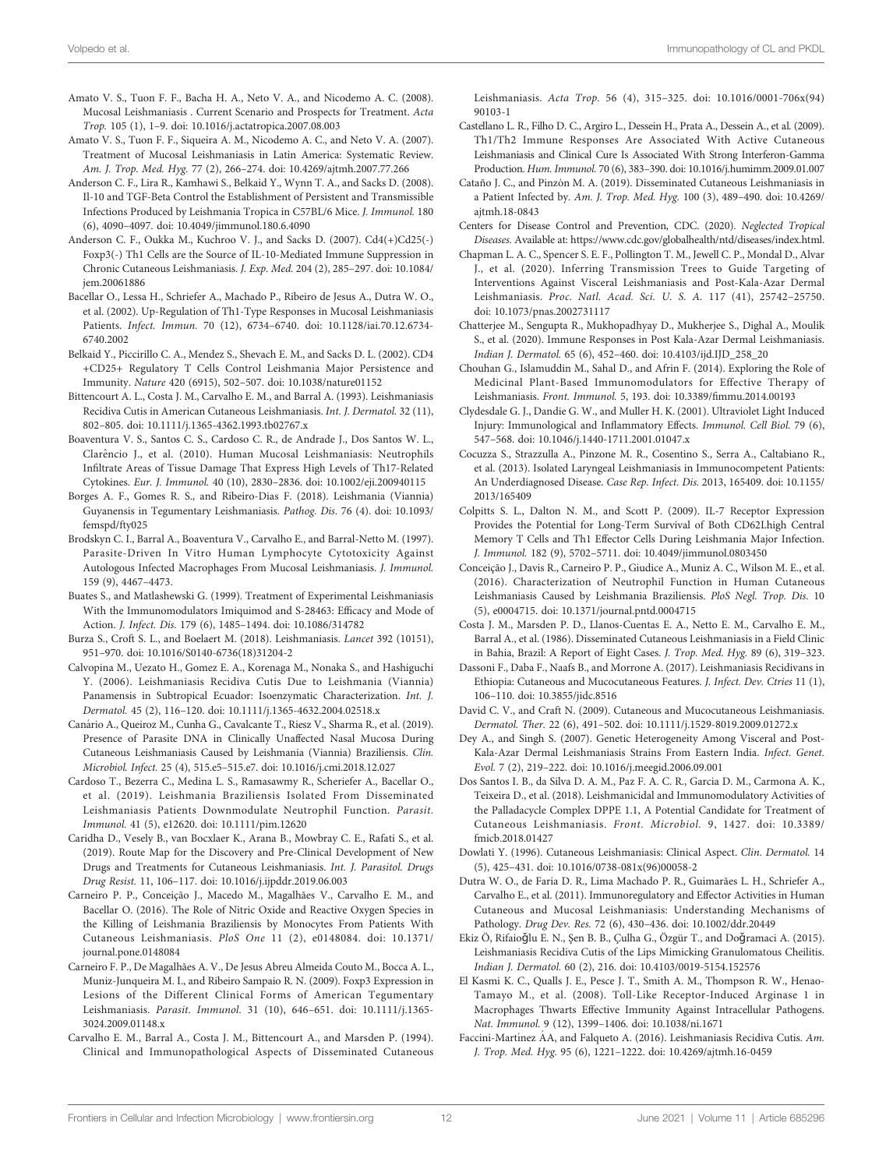- <span id="page-11-0"></span>Amato V. S., Tuon F. F., Bacha H. A., Neto V. A., and Nicodemo A. C. (2008). Mucosal Leishmaniasis . Current Scenario and Prospects for Treatment. Acta Trop. 105 (1), 1–9. doi: [10.1016/j.actatropica.2007.08.003](https://doi.org/10.1016/j.actatropica.2007.08.003)
- Amato V. S., Tuon F. F., Siqueira A. M., Nicodemo A. C., and Neto V. A. (2007). Treatment of Mucosal Leishmaniasis in Latin America: Systematic Review. Am. J. Trop. Med. Hyg. 77 (2), 266–274. doi: [10.4269/ajtmh.2007.77.266](https://doi.org/10.4269/ajtmh.2007.77.266)
- Anderson C. F., Lira R., Kamhawi S., Belkaid Y., Wynn T. A., and Sacks D. (2008). Il-10 and TGF-Beta Control the Establishment of Persistent and Transmissible Infections Produced by Leishmania Tropica in C57BL/6 Mice. J. Immunol. 180 (6), 4090–4097. doi: [10.4049/jimmunol.180.6.4090](https://doi.org/10.4049/jimmunol.180.6.4090)
- Anderson C. F., Oukka M., Kuchroo V. J., and Sacks D. (2007). Cd4(+)Cd25(-) Foxp3(-) Th1 Cells are the Source of IL-10-Mediated Immune Suppression in Chronic Cutaneous Leishmaniasis. J. Exp. Med. 204 (2), 285–297. doi: [10.1084/](https://doi.org/10.1084/jem.20061886) [jem.20061886](https://doi.org/10.1084/jem.20061886)
- Bacellar O., Lessa H., Schriefer A., Machado P., Ribeiro de Jesus A., Dutra W. O., et al. (2002). Up-Regulation of Th1-Type Responses in Mucosal Leishmaniasis Patients. Infect. Immun. 70 (12), 6734–6740. doi: [10.1128/iai.70.12.6734-](https://doi.org/10.1128/iai.70.12.6734-6740.2002) [6740.2002](https://doi.org/10.1128/iai.70.12.6734-6740.2002)
- Belkaid Y., Piccirillo C. A., Mendez S., Shevach E. M., and Sacks D. L. (2002). CD4 +CD25+ Regulatory T Cells Control Leishmania Major Persistence and Immunity. Nature 420 (6915), 502–507. doi: [10.1038/nature01152](https://doi.org/10.1038/nature01152)
- Bittencourt A. L., Costa J. M., Carvalho E. M., and Barral A. (1993). Leishmaniasis Recidiva Cutis in American Cutaneous Leishmaniasis. Int. J. Dermatol. 32 (11), 802–805. doi: [10.1111/j.1365-4362.1993.tb02767.x](https://doi.org/10.1111/j.1365-4362.1993.tb02767.x)
- Boaventura V. S., Santos C. S., Cardoso C. R., de Andrade J., Dos Santos W. L., Clarêncio J., et al. (2010). Human Mucosal Leishmaniasis: Neutrophils Infiltrate Areas of Tissue Damage That Express High Levels of Th17-Related Cytokines. Eur. J. Immunol. 40 (10), 2830–2836. doi: [10.1002/eji.200940115](https://doi.org/10.1002/eji.200940115)
- Borges A. F., Gomes R. S., and Ribeiro-Dias F. (2018). Leishmania (Viannia) Guyanensis in Tegumentary Leishmaniasis. Pathog. Dis. 76 (4). doi: [10.1093/](https://doi.org/10.1093/femspd/fty025) [femspd/fty025](https://doi.org/10.1093/femspd/fty025)
- Brodskyn C. I., Barral A., Boaventura V., Carvalho E., and Barral-Netto M. (1997). Parasite-Driven In Vitro Human Lymphocyte Cytotoxicity Against Autologous Infected Macrophages From Mucosal Leishmaniasis. J. Immunol. 159 (9), 4467–4473.
- Buates S., and Matlashewski G. (1999). Treatment of Experimental Leishmaniasis With the Immunomodulators Imiquimod and S-28463: Efficacy and Mode of Action. J. Infect. Dis. 179 (6), 1485–1494. doi: [10.1086/314782](https://doi.org/10.1086/314782)
- Burza S., Croft S. L., and Boelaert M. (2018). Leishmaniasis. Lancet 392 (10151), 951–970. doi: [10.1016/S0140-6736\(18\)31204-2](https://doi.org/10.1016/S0140-6736(18)31204-2)
- Calvopina M., Uezato H., Gomez E. A., Korenaga M., Nonaka S., and Hashiguchi Y. (2006). Leishmaniasis Recidiva Cutis Due to Leishmania (Viannia) Panamensis in Subtropical Ecuador: Isoenzymatic Characterization. Int. J. Dermatol. 45 (2), 116–120. doi: [10.1111/j.1365-4632.2004.02518.x](https://doi.org/10.1111/j.1365-4632.2004.02518.x)
- Canário A., Queiroz M., Cunha G., Cavalcante T., Riesz V., Sharma R., et al. (2019). Presence of Parasite DNA in Clinically Unaffected Nasal Mucosa During Cutaneous Leishmaniasis Caused by Leishmania (Viannia) Braziliensis. Clin. Microbiol. Infect. 25 (4), 515.e5–515.e7. doi: [10.1016/j.cmi.2018.12.027](https://doi.org/10.1016/j.cmi.2018.12.027)
- Cardoso T., Bezerra C., Medina L. S., Ramasawmy R., Scheriefer A., Bacellar O., et al. (2019). Leishmania Braziliensis Isolated From Disseminated Leishmaniasis Patients Downmodulate Neutrophil Function. Parasit. Immunol. 41 (5), e12620. doi: [10.1111/pim.12620](https://doi.org/10.1111/pim.12620)
- Caridha D., Vesely B., van Bocxlaer K., Arana B., Mowbray C. E., Rafati S., et al. (2019). Route Map for the Discovery and Pre-Clinical Development of New Drugs and Treatments for Cutaneous Leishmaniasis. Int. J. Parasitol. Drugs Drug Resist. 11, 106–117. doi: [10.1016/j.ijpddr.2019.06.003](https://doi.org/10.1016/j.ijpddr.2019.06.003)
- Carneiro P. P., Conceição J., Macedo M., Magalhães V., Carvalho E. M., and Bacellar O. (2016). The Role of Nitric Oxide and Reactive Oxygen Species in the Killing of Leishmania Braziliensis by Monocytes From Patients With Cutaneous Leishmaniasis. PloS One 11 (2), e0148084. doi: [10.1371/](https://doi.org/10.1371/journal.pone.0148084) [journal.pone.0148084](https://doi.org/10.1371/journal.pone.0148084)
- Carneiro F. P., De Magalhães A. V., De Jesus Abreu Almeida Couto M., Bocca A. L., Muniz-Junqueira M. I., and Ribeiro Sampaio R. N. (2009). Foxp3 Expression in Lesions of the Different Clinical Forms of American Tegumentary Leishmaniasis. Parasit. Immunol. 31 (10), 646–651. doi: [10.1111/j.1365-](https://doi.org/10.1111/j.1365-3024.2009.01148.x) [3024.2009.01148.x](https://doi.org/10.1111/j.1365-3024.2009.01148.x)
- Carvalho E. M., Barral A., Costa J. M., Bittencourt A., and Marsden P. (1994). Clinical and Immunopathological Aspects of Disseminated Cutaneous

Leishmaniasis. Acta Trop. 56 (4), 315–325. doi: [10.1016/0001-706x\(94\)](https://doi.org/10.1016/0001-706x(94)90103-1) [90103-1](https://doi.org/10.1016/0001-706x(94)90103-1)

- Castellano L. R., Filho D. C., Argiro L., Dessein H., Prata A., Dessein A., et al. (2009). Th1/Th2 Immune Responses Are Associated With Active Cutaneous Leishmaniasis and Clinical Cure Is Associated With Strong Interferon-Gamma Production. Hum. Immunol. 70 (6), 383–390. doi: [10.1016/j.humimm.2009.01.007](https://doi.org/10.1016/j.humimm.2009.01.007)
- Cataño J. C., and Pinzón M. A. (2019). Disseminated Cutaneous Leishmaniasis in a Patient Infected by. Am. J. Trop. Med. Hyg. 100 (3), 489–490. doi: [10.4269/](https://doi.org/10.4269/ajtmh.18-0843) [ajtmh.18-0843](https://doi.org/10.4269/ajtmh.18-0843)
- Centers for Disease Control and Prevention, CDC. (2020). Neglected Tropical Diseases. Available at:<https://www.cdc.gov/globalhealth/ntd/diseases/index.html>.
- Chapman L. A. C., Spencer S. E. F., Pollington T. M., Jewell C. P., Mondal D., Alvar J., et al. (2020). Inferring Transmission Trees to Guide Targeting of Interventions Against Visceral Leishmaniasis and Post-Kala-Azar Dermal Leishmaniasis. Proc. Natl. Acad. Sci. U. S. A. 117 (41), 25742–25750. doi: [10.1073/pnas.2002731117](https://doi.org/10.1073/pnas.2002731117)
- Chatterjee M., Sengupta R., Mukhopadhyay D., Mukherjee S., Dighal A., Moulik S., et al. (2020). Immune Responses in Post Kala-Azar Dermal Leishmaniasis. Indian J. Dermatol. 65 (6), 452–460. doi: [10.4103/ijd.IJD\\_258\\_20](https://doi.org/10.4103/ijd.IJD_258_20)
- Chouhan G., Islamuddin M., Sahal D., and Afrin F. (2014). Exploring the Role of Medicinal Plant-Based Immunomodulators for Effective Therapy of Leishmaniasis. Front. Immunol. 5, 193. doi: 10.3389/fi[mmu.2014.00193](https://doi.org/10.3389/fimmu.2014.00193)
- Clydesdale G. J., Dandie G. W., and Muller H. K. (2001). Ultraviolet Light Induced Injury: Immunological and Inflammatory Effects. Immunol. Cell Biol. 79 (6), 547–568. doi: [10.1046/j.1440-1711.2001.01047.x](https://doi.org/10.1046/j.1440-1711.2001.01047.x)
- Cocuzza S., Strazzulla A., Pinzone M. R., Cosentino S., Serra A., Caltabiano R., et al. (2013). Isolated Laryngeal Leishmaniasis in Immunocompetent Patients: An Underdiagnosed Disease. Case Rep. Infect. Dis. 2013, 165409. doi: [10.1155/](https://doi.org/10.1155/2013/165409) [2013/165409](https://doi.org/10.1155/2013/165409)
- Colpitts S. L., Dalton N. M., and Scott P. (2009). IL-7 Receptor Expression Provides the Potential for Long-Term Survival of Both CD62Lhigh Central Memory T Cells and Th1 Effector Cells During Leishmania Major Infection. J. Immunol. 182 (9), 5702–5711. doi: [10.4049/jimmunol.0803450](https://doi.org/10.4049/jimmunol.0803450)
- Conceição J., Davis R., Carneiro P. P., Giudice A., Muniz A. C., Wilson M. E., et al. (2016). Characterization of Neutrophil Function in Human Cutaneous Leishmaniasis Caused by Leishmania Braziliensis. PloS Negl. Trop. Dis. 10 (5), e0004715. doi: [10.1371/journal.pntd.0004715](https://doi.org/10.1371/journal.pntd.0004715)
- Costa J. M., Marsden P. D., Llanos-Cuentas E. A., Netto E. M., Carvalho E. M., Barral A., et al. (1986). Disseminated Cutaneous Leishmaniasis in a Field Clinic in Bahia, Brazil: A Report of Eight Cases. J. Trop. Med. Hyg. 89 (6), 319–323.
- Dassoni F., Daba F., Naafs B., and Morrone A. (2017). Leishmaniasis Recidivans in Ethiopia: Cutaneous and Mucocutaneous Features. J. Infect. Dev. Ctries 11 (1), 106–110. doi: [10.3855/jidc.8516](https://doi.org/10.3855/jidc.8516)
- David C. V., and Craft N. (2009). Cutaneous and Mucocutaneous Leishmaniasis. Dermatol. Ther. 22 (6), 491–502. doi: [10.1111/j.1529-8019.2009.01272.x](https://doi.org/10.1111/j.1529-8019.2009.01272.x)
- Dey A., and Singh S. (2007). Genetic Heterogeneity Among Visceral and Post-Kala-Azar Dermal Leishmaniasis Strains From Eastern India. Infect. Genet. Evol. 7 (2), 219–222. doi: [10.1016/j.meegid.2006.09.001](https://doi.org/10.1016/j.meegid.2006.09.001)
- Dos Santos I. B., da Silva D. A. M., Paz F. A. C. R., Garcia D. M., Carmona A. K., Teixeira D., et al. (2018). Leishmanicidal and Immunomodulatory Activities of the Palladacycle Complex DPPE 1.1, A Potential Candidate for Treatment of Cutaneous Leishmaniasis. Front. Microbiol. 9, 1427. doi: [10.3389/](https://doi.org/10.3389/fmicb.2018.01427) [fmicb.2018.01427](https://doi.org/10.3389/fmicb.2018.01427)
- Dowlati Y. (1996). Cutaneous Leishmaniasis: Clinical Aspect. Clin. Dermatol. 14 (5), 425–431. doi: [10.1016/0738-081x\(96\)00058-2](https://doi.org/10.1016/0738-081x(96)00058-2)
- Dutra W. O., de Faria D. R., Lima Machado P. R., Guimarães L. H., Schriefer A., Carvalho E., et al. (2011). Immunoregulatory and Effector Activities in Human Cutaneous and Mucosal Leishmaniasis: Understanding Mechanisms of Pathology. Drug Dev. Res. 72 (6), 430–436. doi: [10.1002/ddr.20449](https://doi.org/10.1002/ddr.20449)
- Ekiz Ö, Rifaioǧlu E. N., Şen B. B., Çulha G., Özgür T., and Doǧramaci A. (2015). Leishmaniasis Recidiva Cutis of the Lips Mimicking Granulomatous Cheilitis. Indian J. Dermatol. 60 (2), 216. doi: [10.4103/0019-5154.152576](https://doi.org/10.4103/0019-5154.152576)
- El Kasmi K. C., Qualls J. E., Pesce J. T., Smith A. M., Thompson R. W., Henao-Tamayo M., et al. (2008). Toll-Like Receptor-Induced Arginase 1 in Macrophages Thwarts Effective Immunity Against Intracellular Pathogens. Nat. Immunol. 9 (12), 1399–1406. doi: [10.1038/ni.1671](https://doi.org/10.1038/ni.1671)
- Faccini-Martínez ÁA, and Falqueto A. (2016). Leishmaniasis Recidiva Cutis. Am. J. Trop. Med. Hyg. 95 (6), 1221–1222. doi: [10.4269/ajtmh.16-0459](https://doi.org/10.4269/ajtmh.16-0459)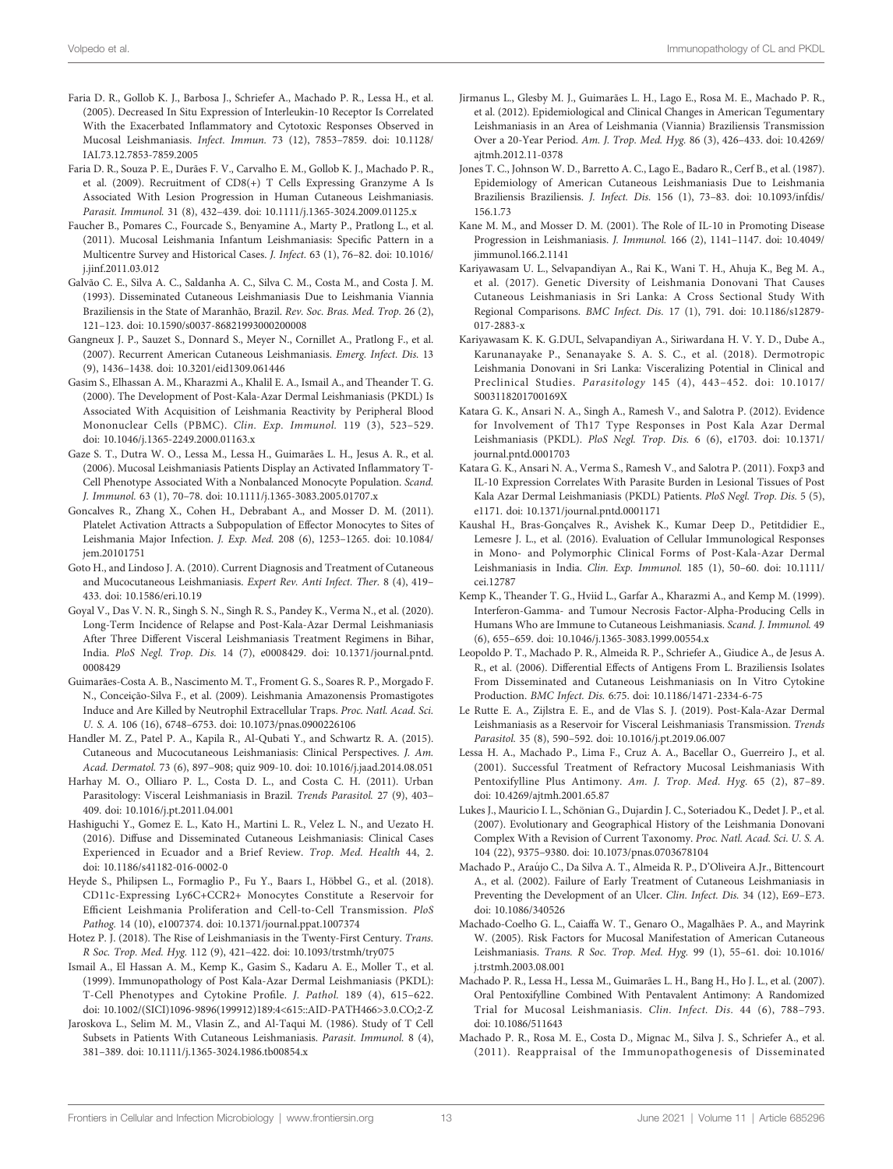- <span id="page-12-0"></span>Faria D. R., Gollob K. J., Barbosa J., Schriefer A., Machado P. R., Lessa H., et al. (2005). Decreased In Situ Expression of Interleukin-10 Receptor Is Correlated With the Exacerbated Inflammatory and Cytotoxic Responses Observed in Mucosal Leishmaniasis. Infect. Immun. 73 (12), 7853–7859. doi: [10.1128/](https://doi.org/10.1128/IAI.73.12.7853-7859.2005) [IAI.73.12.7853-7859.2005](https://doi.org/10.1128/IAI.73.12.7853-7859.2005)
- Faria D. R., Souza P. E., Durães F. V., Carvalho E. M., Gollob K. J., Machado P. R., et al. (2009). Recruitment of CD8(+) T Cells Expressing Granzyme A Is Associated With Lesion Progression in Human Cutaneous Leishmaniasis. Parasit. Immunol. 31 (8), 432–439. doi: [10.1111/j.1365-3024.2009.01125.x](https://doi.org/10.1111/j.1365-3024.2009.01125.x)
- Faucher B., Pomares C., Fourcade S., Benyamine A., Marty P., Pratlong L., et al. (2011). Mucosal Leishmania Infantum Leishmaniasis: Specific Pattern in a Multicentre Survey and Historical Cases. J. Infect. 63 (1), 76–82. doi: [10.1016/](https://doi.org/10.1016/j.jinf.2011.03.012) [j.jinf.2011.03.012](https://doi.org/10.1016/j.jinf.2011.03.012)
- Galvão C. E., Silva A. C., Saldanha A. C., Silva C. M., Costa M., and Costa J. M. (1993). Disseminated Cutaneous Leishmaniasis Due to Leishmania Viannia Braziliensis in the State of Maranhão, Brazil. Rev. Soc. Bras. Med. Trop. 26 (2), 121–123. doi: [10.1590/s0037-86821993000200008](https://doi.org/10.1590/s0037-86821993000200008)
- Gangneux J. P., Sauzet S., Donnard S., Meyer N., Cornillet A., Pratlong F., et al. (2007). Recurrent American Cutaneous Leishmaniasis. Emerg. Infect. Dis. 13 (9), 1436–1438. doi: [10.3201/eid1309.061446](https://doi.org/10.3201/eid1309.061446)
- Gasim S., Elhassan A. M., Kharazmi A., Khalil E. A., Ismail A., and Theander T. G. (2000). The Development of Post-Kala-Azar Dermal Leishmaniasis (PKDL) Is Associated With Acquisition of Leishmania Reactivity by Peripheral Blood Mononuclear Cells (PBMC). Clin. Exp. Immunol. 119 (3), 523–529. doi: [10.1046/j.1365-2249.2000.01163.x](https://doi.org/10.1046/j.1365-2249.2000.01163.x)
- Gaze S. T., Dutra W. O., Lessa M., Lessa H., Guimarães L. H., Jesus A. R., et al. (2006). Mucosal Leishmaniasis Patients Display an Activated Inflammatory T-Cell Phenotype Associated With a Nonbalanced Monocyte Population. Scand. J. Immunol. 63 (1), 70–78. doi: [10.1111/j.1365-3083.2005.01707.x](https://doi.org/10.1111/j.1365-3083.2005.01707.x)
- Goncalves R., Zhang X., Cohen H., Debrabant A., and Mosser D. M. (2011). Platelet Activation Attracts a Subpopulation of Effector Monocytes to Sites of Leishmania Major Infection. J. Exp. Med. 208 (6), 1253–1265. doi: [10.1084/](https://doi.org/10.1084/jem.20101751) [jem.20101751](https://doi.org/10.1084/jem.20101751)
- Goto H., and Lindoso J. A. (2010). Current Diagnosis and Treatment of Cutaneous and Mucocutaneous Leishmaniasis. Expert Rev. Anti Infect. Ther. 8 (4), 419– 433. doi: [10.1586/eri.10.19](https://doi.org/10.1586/eri.10.19)
- Goyal V., Das V. N. R., Singh S. N., Singh R. S., Pandey K., Verma N., et al. (2020). Long-Term Incidence of Relapse and Post-Kala-Azar Dermal Leishmaniasis After Three Different Visceral Leishmaniasis Treatment Regimens in Bihar, India. PloS Negl. Trop. Dis. 14 (7), e0008429. doi: [10.1371/journal.pntd.](https://doi.org/10.1371/journal.pntd.0008429) [0008429](https://doi.org/10.1371/journal.pntd.0008429)
- Guimarães-Costa A. B., Nascimento M. T., Froment G. S., Soares R. P., Morgado F. N., Conceição-Silva F., et al. (2009). Leishmania Amazonensis Promastigotes Induce and Are Killed by Neutrophil Extracellular Traps. Proc. Natl. Acad. Sci. U. S. A. 106 (16), 6748–6753. doi: [10.1073/pnas.0900226106](https://doi.org/10.1073/pnas.0900226106)
- Handler M. Z., Patel P. A., Kapila R., Al-Qubati Y., and Schwartz R. A. (2015). Cutaneous and Mucocutaneous Leishmaniasis: Clinical Perspectives. J. Am. Acad. Dermatol. 73 (6), 897–908; quiz 909-10. doi: [10.1016/j.jaad.2014.08.051](https://doi.org/10.1016/j.jaad.2014.08.051)
- Harhay M. O., Olliaro P. L., Costa D. L., and Costa C. H. (2011). Urban Parasitology: Visceral Leishmaniasis in Brazil. Trends Parasitol. 27 (9), 403– 409. doi: [10.1016/j.pt.2011.04.001](https://doi.org/10.1016/j.pt.2011.04.001)
- Hashiguchi Y., Gomez E. L., Kato H., Martini L. R., Velez L. N., and Uezato H. (2016). Diffuse and Disseminated Cutaneous Leishmaniasis: Clinical Cases Experienced in Ecuador and a Brief Review. Trop. Med. Health 44, 2. doi: [10.1186/s41182-016-0002-0](https://doi.org/10.1186/s41182-016-0002-0)
- Heyde S., Philipsen L., Formaglio P., Fu Y., Baars I., Höbbel G., et al. (2018). CD11c-Expressing Ly6C+CCR2+ Monocytes Constitute a Reservoir for Efficient Leishmania Proliferation and Cell-to-Cell Transmission. PloS Pathog. 14 (10), e1007374. doi: [10.1371/journal.ppat.1007374](https://doi.org/10.1371/journal.ppat.1007374)
- Hotez P. J. (2018). The Rise of Leishmaniasis in the Twenty-First Century. Trans. R Soc. Trop. Med. Hyg. 112 (9), 421–422. doi: [10.1093/trstmh/try075](https://doi.org/10.1093/trstmh/try075)
- Ismail A., El Hassan A. M., Kemp K., Gasim S., Kadaru A. E., Moller T., et al. (1999). Immunopathology of Post Kala-Azar Dermal Leishmaniasis (PKDL): T-Cell Phenotypes and Cytokine Profile. J. Pathol. 189 (4), 615–622. doi: [10.1002/\(SICI\)1096-9896\(199912\)189:4<615::AID-PATH466>3.0.CO;2-Z](https://doi.org/10.1002/(SICI)1096-9896(199912)189:4%3C615::AID-PATH466%3E3.0.CO;2-Z)
- Jaroskova L., Selim M. M., Vlasin Z., and Al-Taqui M. (1986). Study of T Cell Subsets in Patients With Cutaneous Leishmaniasis. Parasit. Immunol. 8 (4), 381–389. doi: [10.1111/j.1365-3024.1986.tb00854.x](https://doi.org/10.1111/j.1365-3024.1986.tb00854.x)
- Jirmanus L., Glesby M. J., Guimarães L. H., Lago E., Rosa M. E., Machado P. R., et al. (2012). Epidemiological and Clinical Changes in American Tegumentary Leishmaniasis in an Area of Leishmania (Viannia) Braziliensis Transmission Over a 20-Year Period. Am. J. Trop. Med. Hyg. 86 (3), 426–433. doi: [10.4269/](https://doi.org/10.4269/ajtmh.2012.11-0378) [ajtmh.2012.11-0378](https://doi.org/10.4269/ajtmh.2012.11-0378)
- Jones T. C., Johnson W. D., Barretto A. C., Lago E., Badaro R., Cerf B., et al. (1987). Epidemiology of American Cutaneous Leishmaniasis Due to Leishmania Braziliensis Braziliensis. J. Infect. Dis. 156 (1), 73–83. doi: [10.1093/infdis/](https://doi.org/10.1093/infdis/156.1.73) [156.1.73](https://doi.org/10.1093/infdis/156.1.73)
- Kane M. M., and Mosser D. M. (2001). The Role of IL-10 in Promoting Disease Progression in Leishmaniasis. J. Immunol. 166 (2), 1141–1147. doi: [10.4049/](https://doi.org/10.4049/jimmunol.166.2.1141) [jimmunol.166.2.1141](https://doi.org/10.4049/jimmunol.166.2.1141)
- Kariyawasam U. L., Selvapandiyan A., Rai K., Wani T. H., Ahuja K., Beg M. A., et al. (2017). Genetic Diversity of Leishmania Donovani That Causes Cutaneous Leishmaniasis in Sri Lanka: A Cross Sectional Study With Regional Comparisons. BMC Infect. Dis. 17 (1), 791. doi: [10.1186/s12879-](https://doi.org/10.1186/s12879-017-2883-x) [017-2883-x](https://doi.org/10.1186/s12879-017-2883-x)
- Kariyawasam K. K. G.DUL, Selvapandiyan A., Siriwardana H. V. Y. D., Dube A., Karunanayake P., Senanayake S. A. S. C., et al. (2018). Dermotropic Leishmania Donovani in Sri Lanka: Visceralizing Potential in Clinical and Preclinical Studies. Parasitology 145 (4), 443–452. doi: [10.1017/](https://doi.org/10.1017/S003118201700169X) [S003118201700169X](https://doi.org/10.1017/S003118201700169X)
- Katara G. K., Ansari N. A., Singh A., Ramesh V., and Salotra P. (2012). Evidence for Involvement of Th17 Type Responses in Post Kala Azar Dermal Leishmaniasis (PKDL). PloS Negl. Trop. Dis. 6 (6), e1703. doi: [10.1371/](https://doi.org/10.1371/journal.pntd.0001703) [journal.pntd.0001703](https://doi.org/10.1371/journal.pntd.0001703)
- Katara G. K., Ansari N. A., Verma S., Ramesh V., and Salotra P. (2011). Foxp3 and IL-10 Expression Correlates With Parasite Burden in Lesional Tissues of Post Kala Azar Dermal Leishmaniasis (PKDL) Patients. PloS Negl. Trop. Dis. 5 (5), e1171. doi: [10.1371/journal.pntd.0001171](https://doi.org/10.1371/journal.pntd.0001171)
- Kaushal H., Bras-Gonçalves R., Avishek K., Kumar Deep D., Petitdidier E., Lemesre J. L., et al. (2016). Evaluation of Cellular Immunological Responses in Mono- and Polymorphic Clinical Forms of Post-Kala-Azar Dermal Leishmaniasis in India. Clin. Exp. Immunol. 185 (1), 50–60. doi: [10.1111/](https://doi.org/10.1111/cei.12787) [cei.12787](https://doi.org/10.1111/cei.12787)
- Kemp K., Theander T. G., Hviid L., Garfar A., Kharazmi A., and Kemp M. (1999). Interferon-Gamma- and Tumour Necrosis Factor-Alpha-Producing Cells in Humans Who are Immune to Cutaneous Leishmaniasis. Scand. J. Immunol. 49 (6), 655–659. doi: [10.1046/j.1365-3083.1999.00554.x](https://doi.org/10.1046/j.1365-3083.1999.00554.x)
- Leopoldo P. T., Machado P. R., Almeida R. P., Schriefer A., Giudice A., de Jesus A. R., et al. (2006). Differential Effects of Antigens From L. Braziliensis Isolates From Disseminated and Cutaneous Leishmaniasis on In Vitro Cytokine Production. BMC Infect. Dis. 6:75. doi: [10.1186/1471-2334-6-75](https://doi.org/10.1186/1471-2334-6-75)
- Le Rutte E. A., Zijlstra E. E., and de Vlas S. J. (2019). Post-Kala-Azar Dermal Leishmaniasis as a Reservoir for Visceral Leishmaniasis Transmission. Trends Parasitol. 35 (8), 590–592. doi: [10.1016/j.pt.2019.06.007](https://doi.org/10.1016/j.pt.2019.06.007)
- Lessa H. A., Machado P., Lima F., Cruz A. A., Bacellar O., Guerreiro J., et al. (2001). Successful Treatment of Refractory Mucosal Leishmaniasis With Pentoxifylline Plus Antimony. Am. J. Trop. Med. Hyg. 65 (2), 87–89. doi: [10.4269/ajtmh.2001.65.87](https://doi.org/10.4269/ajtmh.2001.65.87)
- Lukes J., Mauricio I. L., Schönian G., Dujardin J. C., Soteriadou K., Dedet J. P., et al. (2007). Evolutionary and Geographical History of the Leishmania Donovani Complex With a Revision of Current Taxonomy. Proc. Natl. Acad. Sci. U. S. A. 104 (22), 9375–9380. doi: [10.1073/pnas.0703678104](https://doi.org/10.1073/pnas.0703678104)
- Machado P., Araújo C., Da Silva A. T., Almeida R. P., D'Oliveira A.Jr., Bittencourt A., et al. (2002). Failure of Early Treatment of Cutaneous Leishmaniasis in Preventing the Development of an Ulcer. Clin. Infect. Dis. 34 (12), E69–E73. doi: [10.1086/340526](https://doi.org/10.1086/340526)
- Machado-Coelho G. L., Caiaffa W. T., Genaro O., Magalhães P. A., and Mayrink W. (2005). Risk Factors for Mucosal Manifestation of American Cutaneous Leishmaniasis. Trans. R Soc. Trop. Med. Hyg. 99 (1), 55–61. doi: [10.1016/](https://doi.org/10.1016/j.trstmh.2003.08.001) [j.trstmh.2003.08.001](https://doi.org/10.1016/j.trstmh.2003.08.001)
- Machado P. R., Lessa H., Lessa M., Guimarães L. H., Bang H., Ho J. L., et al. (2007). Oral Pentoxifylline Combined With Pentavalent Antimony: A Randomized Trial for Mucosal Leishmaniasis. Clin. Infect. Dis. 44 (6), 788–793. doi: [10.1086/511643](https://doi.org/10.1086/511643)
- Machado P. R., Rosa M. E., Costa D., Mignac M., Silva J. S., Schriefer A., et al. (2011). Reappraisal of the Immunopathogenesis of Disseminated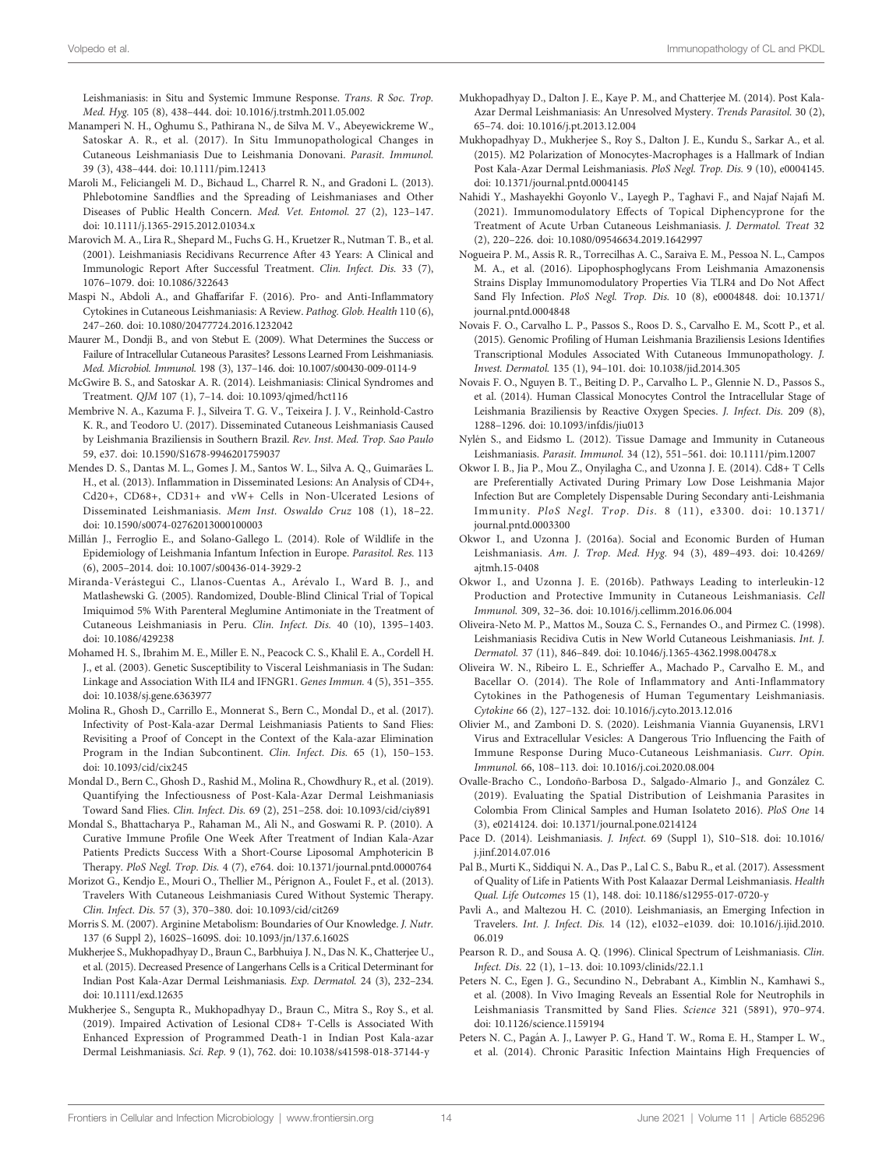<span id="page-13-0"></span>Leishmaniasis: in Situ and Systemic Immune Response. Trans. R Soc. Trop. Med. Hyg. 105 (8), 438–444. doi: [10.1016/j.trstmh.2011.05.002](https://doi.org/10.1016/j.trstmh.2011.05.002)

- Manamperi N. H., Oghumu S., Pathirana N., de Silva M. V., Abeyewickreme W., Satoskar A. R., et al. (2017). In Situ Immunopathological Changes in Cutaneous Leishmaniasis Due to Leishmania Donovani. Parasit. Immunol. 39 (3), 438–444. doi: [10.1111/pim.12413](https://doi.org/10.1111/pim.12413)
- Maroli M., Feliciangeli M. D., Bichaud L., Charrel R. N., and Gradoni L. (2013). Phlebotomine Sandflies and the Spreading of Leishmaniases and Other Diseases of Public Health Concern. Med. Vet. Entomol. 27 (2), 123–147. doi: [10.1111/j.1365-2915.2012.01034.x](https://doi.org/10.1111/j.1365-2915.2012.01034.x)
- Marovich M. A., Lira R., Shepard M., Fuchs G. H., Kruetzer R., Nutman T. B., et al. (2001). Leishmaniasis Recidivans Recurrence After 43 Years: A Clinical and Immunologic Report After Successful Treatment. Clin. Infect. Dis. 33 (7), 1076–1079. doi: [10.1086/322643](https://doi.org/10.1086/322643)
- Maspi N., Abdoli A., and Ghaffarifar F. (2016). Pro- and Anti-Inflammatory Cytokines in Cutaneous Leishmaniasis: A Review. Pathog. Glob. Health 110 (6), 247–260. doi: [10.1080/20477724.2016.1232042](https://doi.org/10.1080/20477724.2016.1232042)
- Maurer M., Dondji B., and von Stebut E. (2009). What Determines the Success or Failure of Intracellular Cutaneous Parasites? Lessons Learned From Leishmaniasis. Med. Microbiol. Immunol. 198 (3), 137–146. doi: [10.1007/s00430-009-0114-9](https://doi.org/10.1007/s00430-009-0114-9)
- McGwire B. S., and Satoskar A. R. (2014). Leishmaniasis: Clinical Syndromes and Treatment. QJM 107 (1), 7–14. doi: [10.1093/qjmed/hct116](https://doi.org/10.1093/qjmed/hct116)
- Membrive N. A., Kazuma F. J., Silveira T. G. V., Teixeira J. J. V., Reinhold-Castro K. R., and Teodoro U. (2017). Disseminated Cutaneous Leishmaniasis Caused by Leishmania Braziliensis in Southern Brazil. Rev. Inst. Med. Trop. Sao Paulo 59, e37. doi: [10.1590/S1678-9946201759037](https://doi.org/10.1590/S1678-9946201759037)
- Mendes D. S., Dantas M. L., Gomes J. M., Santos W. L., Silva A. Q., Guimarães L. H., et al. (2013). Inflammation in Disseminated Lesions: An Analysis of CD4+, Cd20+, CD68+, CD31+ and vW+ Cells in Non-Ulcerated Lesions of Disseminated Leishmaniasis. Mem Inst. Oswaldo Cruz 108 (1), 18–22. doi: [10.1590/s0074-02762013000100003](https://doi.org/10.1590/s0074-02762013000100003)
- Millán J., Ferroglio E., and Solano-Gallego L. (2014). Role of Wildlife in the Epidemiology of Leishmania Infantum Infection in Europe. Parasitol. Res. 113 (6), 2005–2014. doi: [10.1007/s00436-014-3929-2](https://doi.org/10.1007/s00436-014-3929-2)
- Miranda-Verástegui C., Llanos-Cuentas A., Arévalo I., Ward B. J., and Matlashewski G. (2005). Randomized, Double-Blind Clinical Trial of Topical Imiquimod 5% With Parenteral Meglumine Antimoniate in the Treatment of Cutaneous Leishmaniasis in Peru. Clin. Infect. Dis. 40 (10), 1395–1403. doi: [10.1086/429238](https://doi.org/10.1086/429238)
- Mohamed H. S., Ibrahim M. E., Miller E. N., Peacock C. S., Khalil E. A., Cordell H. J., et al. (2003). Genetic Susceptibility to Visceral Leishmaniasis in The Sudan: Linkage and Association With IL4 and IFNGR1. Genes Immun. 4 (5), 351–355. doi: [10.1038/sj.gene.6363977](https://doi.org/10.1038/sj.gene.6363977)
- Molina R., Ghosh D., Carrillo E., Monnerat S., Bern C., Mondal D., et al. (2017). Infectivity of Post-Kala-azar Dermal Leishmaniasis Patients to Sand Flies: Revisiting a Proof of Concept in the Context of the Kala-azar Elimination Program in the Indian Subcontinent. Clin. Infect. Dis. 65 (1), 150–153. doi: [10.1093/cid/cix245](https://doi.org/10.1093/cid/cix245)
- Mondal D., Bern C., Ghosh D., Rashid M., Molina R., Chowdhury R., et al. (2019). Quantifying the Infectiousness of Post-Kala-Azar Dermal Leishmaniasis Toward Sand Flies. Clin. Infect. Dis. 69 (2), 251–258. doi: [10.1093/cid/ciy891](https://doi.org/10.1093/cid/ciy891)
- Mondal S., Bhattacharya P., Rahaman M., Ali N., and Goswami R. P. (2010). A Curative Immune Profile One Week After Treatment of Indian Kala-Azar Patients Predicts Success With a Short-Course Liposomal Amphotericin B Therapy. PloS Negl. Trop. Dis. 4 (7), e764. doi: [10.1371/journal.pntd.0000764](https://doi.org/10.1371/journal.pntd.0000764)
- Morizot G., Kendjo E., Mouri O., Thellier M., Pérignon A., Foulet F., et al. (2013). Travelers With Cutaneous Leishmaniasis Cured Without Systemic Therapy. Clin. Infect. Dis. 57 (3), 370–380. doi: [10.1093/cid/cit269](https://doi.org/10.1093/cid/cit269)
- Morris S. M. (2007). Arginine Metabolism: Boundaries of Our Knowledge. J. Nutr. 137 (6 Suppl 2), 1602S–1609S. doi: [10.1093/jn/137.6.1602S](https://doi.org/10.1093/jn/137.6.1602S)
- Mukherjee S., Mukhopadhyay D., Braun C., Barbhuiya J. N., Das N. K., Chatterjee U., et al. (2015). Decreased Presence of Langerhans Cells is a Critical Determinant for Indian Post Kala-Azar Dermal Leishmaniasis. Exp. Dermatol. 24 (3), 232–234. doi: [10.1111/exd.12635](https://doi.org/10.1111/exd.12635)
- Mukherjee S., Sengupta R., Mukhopadhyay D., Braun C., Mitra S., Roy S., et al. (2019). Impaired Activation of Lesional CD8+ T-Cells is Associated With Enhanced Expression of Programmed Death-1 in Indian Post Kala-azar Dermal Leishmaniasis. Sci. Rep. 9 (1), 762. doi: [10.1038/s41598-018-37144-y](https://doi.org/10.1038/s41598-018-37144-y)
- Mukhopadhyay D., Dalton J. E., Kaye P. M., and Chatterjee M. (2014). Post Kala-Azar Dermal Leishmaniasis: An Unresolved Mystery. Trends Parasitol. 30 (2), 65–74. doi: [10.1016/j.pt.2013.12.004](https://doi.org/10.1016/j.pt.2013.12.004)
- Mukhopadhyay D., Mukherjee S., Roy S., Dalton J. E., Kundu S., Sarkar A., et al. (2015). M2 Polarization of Monocytes-Macrophages is a Hallmark of Indian Post Kala-Azar Dermal Leishmaniasis. PloS Negl. Trop. Dis. 9 (10), e0004145. doi: [10.1371/journal.pntd.0004145](https://doi.org/10.1371/journal.pntd.0004145)
- Nahidi Y., Mashayekhi Goyonlo V., Layegh P., Taghavi F., and Najaf Najafi M. (2021). Immunomodulatory Effects of Topical Diphencyprone for the Treatment of Acute Urban Cutaneous Leishmaniasis. J. Dermatol. Treat 32 (2), 220–226. doi: [10.1080/09546634.2019.1642997](https://doi.org/10.1080/09546634.2019.1642997)
- Nogueira P. M., Assis R. R., Torrecilhas A. C., Saraiva E. M., Pessoa N. L., Campos M. A., et al. (2016). Lipophosphoglycans From Leishmania Amazonensis Strains Display Immunomodulatory Properties Via TLR4 and Do Not Affect Sand Fly Infection. PloS Negl. Trop. Dis. 10 (8), e0004848. doi: [10.1371/](https://doi.org/10.1371/journal.pntd.0004848) [journal.pntd.0004848](https://doi.org/10.1371/journal.pntd.0004848)
- Novais F. O., Carvalho L. P., Passos S., Roos D. S., Carvalho E. M., Scott P., et al. (2015). Genomic Profiling of Human Leishmania Braziliensis Lesions Identifies Transcriptional Modules Associated With Cutaneous Immunopathology. J. Invest. Dermatol. 135 (1), 94–101. doi: [10.1038/jid.2014.305](https://doi.org/10.1038/jid.2014.305)
- Novais F. O., Nguyen B. T., Beiting D. P., Carvalho L. P., Glennie N. D., Passos S., et al. (2014). Human Classical Monocytes Control the Intracellular Stage of Leishmania Braziliensis by Reactive Oxygen Species. J. Infect. Dis. 209 (8), 1288–1296. doi: [10.1093/infdis/jiu013](https://doi.org/10.1093/infdis/jiu013)
- Nylén S., and Eidsmo L. (2012). Tissue Damage and Immunity in Cutaneous Leishmaniasis. Parasit. Immunol. 34 (12), 551–561. doi: [10.1111/pim.12007](https://doi.org/10.1111/pim.12007)
- Okwor I. B., Jia P., Mou Z., Onyilagha C., and Uzonna J. E. (2014). Cd8+ T Cells are Preferentially Activated During Primary Low Dose Leishmania Major Infection But are Completely Dispensable During Secondary anti-Leishmania Immunity. PloS Negl. Trop. Dis. 8 (11), e3300. doi: [10.1371/](https://doi.org/10.1371/journal.pntd.0003300) [journal.pntd.0003300](https://doi.org/10.1371/journal.pntd.0003300)
- Okwor I., and Uzonna J. (2016a). Social and Economic Burden of Human Leishmaniasis. Am. J. Trop. Med. Hyg. 94 (3), 489–493. doi: [10.4269/](https://doi.org/10.4269/ajtmh.15-0408) [ajtmh.15-0408](https://doi.org/10.4269/ajtmh.15-0408)
- Okwor I., and Uzonna J. E. (2016b). Pathways Leading to interleukin-12 Production and Protective Immunity in Cutaneous Leishmaniasis. Cell Immunol. 309, 32–36. doi: [10.1016/j.cellimm.2016.06.004](https://doi.org/10.1016/j.cellimm.2016.06.004)
- Oliveira-Neto M. P., Mattos M., Souza C. S., Fernandes O., and Pirmez C. (1998). Leishmaniasis Recidiva Cutis in New World Cutaneous Leishmaniasis. Int. J. Dermatol. 37 (11), 846–849. doi: [10.1046/j.1365-4362.1998.00478.x](https://doi.org/10.1046/j.1365-4362.1998.00478.x)
- Oliveira W. N., Ribeiro L. E., Schrieffer A., Machado P., Carvalho E. M., and Bacellar O. (2014). The Role of Inflammatory and Anti-Inflammatory Cytokines in the Pathogenesis of Human Tegumentary Leishmaniasis. Cytokine 66 (2), 127–132. doi: [10.1016/j.cyto.2013.12.016](https://doi.org/10.1016/j.cyto.2013.12.016)
- Olivier M., and Zamboni D. S. (2020). Leishmania Viannia Guyanensis, LRV1 Virus and Extracellular Vesicles: A Dangerous Trio Influencing the Faith of Immune Response During Muco-Cutaneous Leishmaniasis. Curr. Opin. Immunol. 66, 108–113. doi: [10.1016/j.coi.2020.08.004](https://doi.org/10.1016/j.coi.2020.08.004)
- Ovalle-Bracho C., Londoño-Barbosa D., Salgado-Almario J., and González C. (2019). Evaluating the Spatial Distribution of Leishmania Parasites in Colombia From Clinical Samples and Human Isolateto 2016). PloS One 14 (3), e0214124. doi: [10.1371/journal.pone.0214124](https://doi.org/10.1371/journal.pone.0214124)
- Pace D. (2014). Leishmaniasis. J. Infect. 69 (Suppl 1), S10–S18. doi: [10.1016/](https://doi.org/10.1016/j.jinf.2014.07.016) [j.jinf.2014.07.016](https://doi.org/10.1016/j.jinf.2014.07.016)
- Pal B., Murti K., Siddiqui N. A., Das P., Lal C. S., Babu R., et al. (2017). Assessment of Quality of Life in Patients With Post Kalaazar Dermal Leishmaniasis. Health Qual. Life Outcomes 15 (1), 148. doi: [10.1186/s12955-017-0720-y](https://doi.org/10.1186/s12955-017-0720-y)
- Pavli A., and Maltezou H. C. (2010). Leishmaniasis, an Emerging Infection in Travelers. Int. J. Infect. Dis. 14 (12), e1032–e1039. doi: [10.1016/j.ijid.2010.](https://doi.org/10.1016/j.ijid.2010.06.019) [06.019](https://doi.org/10.1016/j.ijid.2010.06.019)
- Pearson R. D., and Sousa A. Q. (1996). Clinical Spectrum of Leishmaniasis. Clin. Infect. Dis. 22 (1), 1–13. doi: [10.1093/clinids/22.1.1](https://doi.org/10.1093/clinids/22.1.1)
- Peters N. C., Egen J. G., Secundino N., Debrabant A., Kimblin N., Kamhawi S., et al. (2008). In Vivo Imaging Reveals an Essential Role for Neutrophils in Leishmaniasis Transmitted by Sand Flies. Science 321 (5891), 970–974. doi: [10.1126/science.1159194](https://doi.org/10.1126/science.1159194)
- Peters N. C., Pagán A. J., Lawyer P. G., Hand T. W., Roma E. H., Stamper L. W., et al. (2014). Chronic Parasitic Infection Maintains High Frequencies of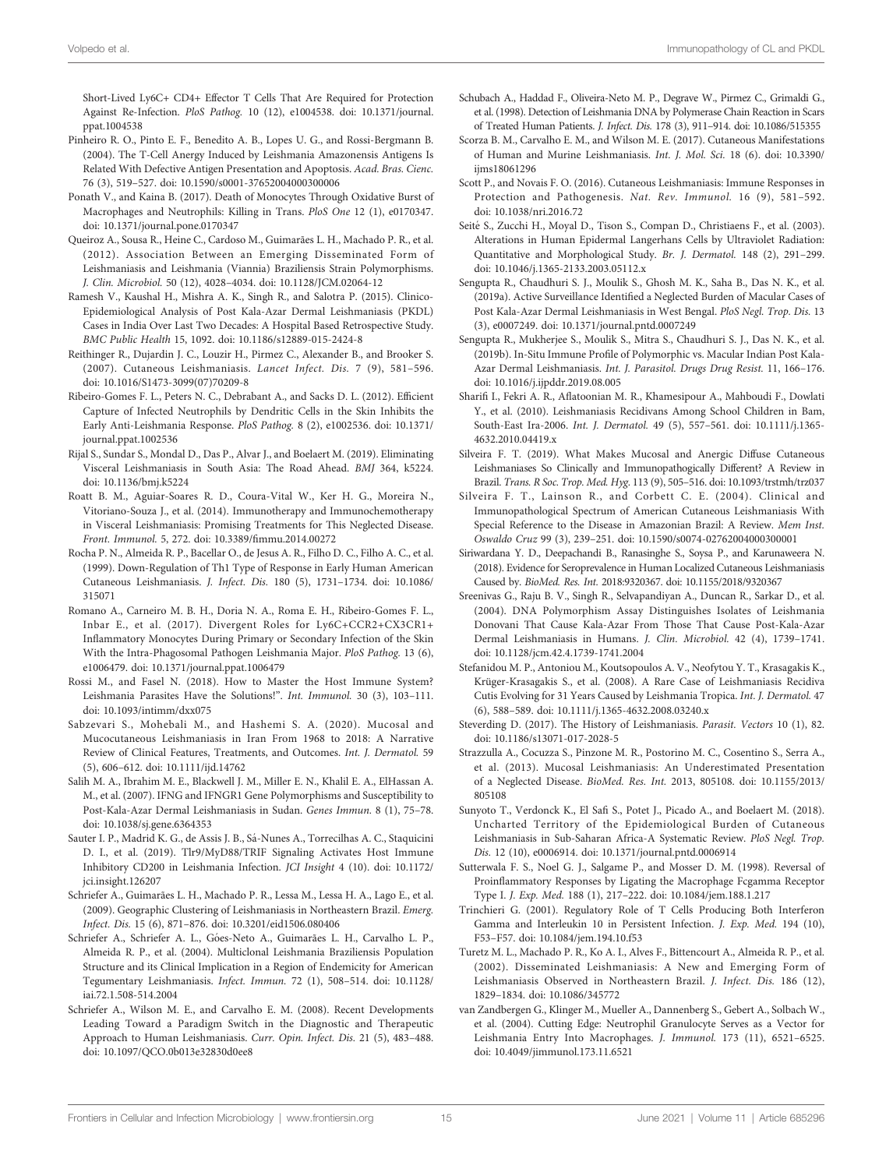<span id="page-14-0"></span>Short-Lived Ly6C+ CD4+ Effector T Cells That Are Required for Protection Against Re-Infection. PloS Pathog. 10 (12), e1004538. doi: [10.1371/journal.](https://doi.org/10.1371/journal.ppat.1004538) [ppat.1004538](https://doi.org/10.1371/journal.ppat.1004538)

Pinheiro R. O., Pinto E. F., Benedito A. B., Lopes U. G., and Rossi-Bergmann B. (2004). The T-Cell Anergy Induced by Leishmania Amazonensis Antigens Is Related With Defective Antigen Presentation and Apoptosis. Acad. Bras. Cienc. 76 (3), 519–527. doi: [10.1590/s0001-37652004000300006](https://doi.org/10.1590/s0001-37652004000300006)

Ponath V., and Kaina B. (2017). Death of Monocytes Through Oxidative Burst of Macrophages and Neutrophils: Killing in Trans. PloS One 12 (1), e0170347. doi: [10.1371/journal.pone.0170347](https://doi.org/10.1371/journal.pone.0170347)

Queiroz A., Sousa R., Heine C., Cardoso M., Guimarães L. H., Machado P. R., et al. (2012). Association Between an Emerging Disseminated Form of Leishmaniasis and Leishmania (Viannia) Braziliensis Strain Polymorphisms. J. Clin. Microbiol. 50 (12), 4028–4034. doi: [10.1128/JCM.02064-12](https://doi.org/10.1128/JCM.02064-12)

Ramesh V., Kaushal H., Mishra A. K., Singh R., and Salotra P. (2015). Clinico-Epidemiological Analysis of Post Kala-Azar Dermal Leishmaniasis (PKDL) Cases in India Over Last Two Decades: A Hospital Based Retrospective Study. BMC Public Health 15, 1092. doi: [10.1186/s12889-015-2424-8](https://doi.org/10.1186/s12889-015-2424-8)

Reithinger R., Dujardin J. C., Louzir H., Pirmez C., Alexander B., and Brooker S. (2007). Cutaneous Leishmaniasis. Lancet Infect. Dis. 7 (9), 581–596. doi: [10.1016/S1473-3099\(07\)70209-8](https://doi.org/10.1016/S1473-3099(07)70209-8)

Ribeiro-Gomes F. L., Peters N. C., Debrabant A., and Sacks D. L. (2012). Efficient Capture of Infected Neutrophils by Dendritic Cells in the Skin Inhibits the Early Anti-Leishmania Response. PloS Pathog. 8 (2), e1002536. doi: [10.1371/](https://doi.org/10.1371/journal.ppat.1002536) [journal.ppat.1002536](https://doi.org/10.1371/journal.ppat.1002536)

Rijal S., Sundar S., Mondal D., Das P., Alvar J., and Boelaert M. (2019). Eliminating Visceral Leishmaniasis in South Asia: The Road Ahead. BMJ 364, k5224. doi: [10.1136/bmj.k5224](https://doi.org/10.1136/bmj.k5224)

Roatt B. M., Aguiar-Soares R. D., Coura-Vital W., Ker H. G., Moreira N., Vitoriano-Souza J., et al. (2014). Immunotherapy and Immunochemotherapy in Visceral Leishmaniasis: Promising Treatments for This Neglected Disease. Front. Immunol. 5, 272. doi: 10.3389/fi[mmu.2014.00272](https://doi.org/10.3389/fimmu.2014.00272)

Rocha P. N., Almeida R. P., Bacellar O., de Jesus A. R., Filho D. C., Filho A. C., et al. (1999). Down-Regulation of Th1 Type of Response in Early Human American Cutaneous Leishmaniasis. J. Infect. Dis. 180 (5), 1731–1734. doi: [10.1086/](https://doi.org/10.1086/315071) [315071](https://doi.org/10.1086/315071)

Romano A., Carneiro M. B. H., Doria N. A., Roma E. H., Ribeiro-Gomes F. L., Inbar E., et al. (2017). Divergent Roles for Ly6C+CCR2+CX3CR1+ Inflammatory Monocytes During Primary or Secondary Infection of the Skin With the Intra-Phagosomal Pathogen Leishmania Major. PloS Pathog. 13 (6), e1006479. doi: [10.1371/journal.ppat.1006479](https://doi.org/10.1371/journal.ppat.1006479)

Rossi M., and Fasel N. (2018). How to Master the Host Immune System? Leishmania Parasites Have the Solutions!". Int. Immunol. 30 (3), 103–111. doi: [10.1093/intimm/dxx075](https://doi.org/10.1093/intimm/dxx075)

Sabzevari S., Mohebali M., and Hashemi S. A. (2020). Mucosal and Mucocutaneous Leishmaniasis in Iran From 1968 to 2018: A Narrative Review of Clinical Features, Treatments, and Outcomes. Int. J. Dermatol. 59 (5), 606–612. doi: [10.1111/ijd.14762](https://doi.org/10.1111/ijd.14762)

Salih M. A., Ibrahim M. E., Blackwell J. M., Miller E. N., Khalil E. A., ElHassan A. M., et al. (2007). IFNG and IFNGR1 Gene Polymorphisms and Susceptibility to Post-Kala-Azar Dermal Leishmaniasis in Sudan. Genes Immun. 8 (1), 75–78. doi: [10.1038/sj.gene.6364353](https://doi.org/10.1038/sj.gene.6364353)

Sauter I. P., Madrid K. G., de Assis J. B., Sá-Nunes A., Torrecilhas A. C., Staquicini D. I., et al. (2019). Tlr9/MyD88/TRIF Signaling Activates Host Immune Inhibitory CD200 in Leishmania Infection. JCI Insight 4 (10). doi: [10.1172/](https://doi.org/10.1172/jci.insight.126207) [jci.insight.126207](https://doi.org/10.1172/jci.insight.126207)

Schriefer A., Guimarães L. H., Machado P. R., Lessa M., Lessa H. A., Lago E., et al. (2009). Geographic Clustering of Leishmaniasis in Northeastern Brazil. Emerg. Infect. Dis. 15 (6), 871–876. doi: [10.3201/eid1506.080406](https://doi.org/10.3201/eid1506.080406)

Schriefer A., Schriefer A. L., Góes-Neto A., Guimarães L. H., Carvalho L. P., Almeida R. P., et al. (2004). Multiclonal Leishmania Braziliensis Population Structure and its Clinical Implication in a Region of Endemicity for American Tegumentary Leishmaniasis. Infect. Immun. 72 (1), 508–514. doi: [10.1128/](https://doi.org/10.1128/iai.72.1.508-514.2004) [iai.72.1.508-514.2004](https://doi.org/10.1128/iai.72.1.508-514.2004)

Schriefer A., Wilson M. E., and Carvalho E. M. (2008). Recent Developments Leading Toward a Paradigm Switch in the Diagnostic and Therapeutic Approach to Human Leishmaniasis. Curr. Opin. Infect. Dis. 21 (5), 483–488. doi: [10.1097/QCO.0b013e32830d0ee8](https://doi.org/10.1097/QCO.0b013e32830d0ee8)

Schubach A., Haddad F., Oliveira-Neto M. P., Degrave W., Pirmez C., Grimaldi G., et al. (1998). Detection of Leishmania DNA by Polymerase Chain Reaction in Scars of Treated Human Patients. J. Infect. Dis. 178 (3), 911–914. doi: [10.1086/515355](https://doi.org/10.1086/515355)

Scorza B. M., Carvalho E. M., and Wilson M. E. (2017). Cutaneous Manifestations of Human and Murine Leishmaniasis. Int. J. Mol. Sci. 18 (6). doi: [10.3390/](https://doi.org/10.3390/ijms18061296) [ijms18061296](https://doi.org/10.3390/ijms18061296)

Scott P., and Novais F. O. (2016). Cutaneous Leishmaniasis: Immune Responses in Protection and Pathogenesis. Nat. Rev. Immunol. 16 (9), 581–592. doi: [10.1038/nri.2016.72](https://doi.org/10.1038/nri.2016.72)

Seité S., Zucchi H., Moyal D., Tison S., Compan D., Christiaens F., et al. (2003). Alterations in Human Epidermal Langerhans Cells by Ultraviolet Radiation: Quantitative and Morphological Study. Br. J. Dermatol. 148 (2), 291–299. doi: [10.1046/j.1365-2133.2003.05112.x](https://doi.org/10.1046/j.1365-2133.2003.05112.x)

Sengupta R., Chaudhuri S. J., Moulik S., Ghosh M. K., Saha B., Das N. K., et al. (2019a). Active Surveillance Identified a Neglected Burden of Macular Cases of Post Kala-Azar Dermal Leishmaniasis in West Bengal. PloS Negl. Trop. Dis. 13 (3), e0007249. doi: [10.1371/journal.pntd.0007249](https://doi.org/10.1371/journal.pntd.0007249)

Sengupta R., Mukherjee S., Moulik S., Mitra S., Chaudhuri S. J., Das N. K., et al. (2019b). In-Situ Immune Profile of Polymorphic vs. Macular Indian Post Kala-Azar Dermal Leishmaniasis. Int. J. Parasitol. Drugs Drug Resist. 11, 166–176. doi: [10.1016/j.ijpddr.2019.08.005](https://doi.org/10.1016/j.ijpddr.2019.08.005)

Sharifi I., Fekri A. R., Aflatoonian M. R., Khamesipour A., Mahboudi F., Dowlati Y., et al. (2010). Leishmaniasis Recidivans Among School Children in Bam, South-East Ira-2006. Int. J. Dermatol. 49 (5), 557–561. doi: [10.1111/j.1365-](https://doi.org/10.1111/j.1365-4632.2010.04419.x) [4632.2010.04419.x](https://doi.org/10.1111/j.1365-4632.2010.04419.x)

Silveira F. T. (2019). What Makes Mucosal and Anergic Diffuse Cutaneous Leishmaniases So Clinically and Immunopathogically Different? A Review in Brazil. Trans. R Soc. Trop. Med. Hyg. 113 (9), 505–516. doi: [10.1093/trstmh/trz037](https://doi.org/10.1093/trstmh/trz037)

Silveira F. T., Lainson R., and Corbett C. E. (2004). Clinical and Immunopathological Spectrum of American Cutaneous Leishmaniasis With Special Reference to the Disease in Amazonian Brazil: A Review. Mem Inst. Oswaldo Cruz 99 (3), 239–251. doi: [10.1590/s0074-02762004000300001](https://doi.org/10.1590/s0074-02762004000300001)

Siriwardana Y. D., Deepachandi B., Ranasinghe S., Soysa P., and Karunaweera N. (2018). Evidence for Seroprevalence in Human Localized Cutaneous Leishmaniasis Caused by. BioMed. Res. Int. 2018:9320367. doi: [10.1155/2018/9320367](https://doi.org/10.1155/2018/9320367)

Sreenivas G., Raju B. V., Singh R., Selvapandiyan A., Duncan R., Sarkar D., et al. (2004). DNA Polymorphism Assay Distinguishes Isolates of Leishmania Donovani That Cause Kala-Azar From Those That Cause Post-Kala-Azar Dermal Leishmaniasis in Humans. J. Clin. Microbiol. 42 (4), 1739–1741. doi: [10.1128/jcm.42.4.1739-1741.2004](https://doi.org/10.1128/jcm.42.4.1739-1741.2004)

Stefanidou M. P., Antoniou M., Koutsopoulos A. V., Neofytou Y. T., Krasagakis K., Krüger-Krasagakis S., et al. (2008). A Rare Case of Leishmaniasis Recidiva Cutis Evolving for 31 Years Caused by Leishmania Tropica. Int. J. Dermatol. 47 (6), 588–589. doi: [10.1111/j.1365-4632.2008.03240.x](https://doi.org/10.1111/j.1365-4632.2008.03240.x)

Steverding D. (2017). The History of Leishmaniasis. Parasit. Vectors 10 (1), 82. doi: [10.1186/s13071-017-2028-5](https://doi.org/10.1186/s13071-017-2028-5)

Strazzulla A., Cocuzza S., Pinzone M. R., Postorino M. C., Cosentino S., Serra A., et al. (2013). Mucosal Leishmaniasis: An Underestimated Presentation of a Neglected Disease. BioMed. Res. Int. 2013, 805108. doi: [10.1155/2013/](https://doi.org/10.1155/2013/805108) [805108](https://doi.org/10.1155/2013/805108)

Sunyoto T., Verdonck K., El Safi S., Potet J., Picado A., and Boelaert M. (2018). Uncharted Territory of the Epidemiological Burden of Cutaneous Leishmaniasis in Sub-Saharan Africa-A Systematic Review. PloS Negl. Trop. Dis. 12 (10), e0006914. doi: [10.1371/journal.pntd.0006914](https://doi.org/10.1371/journal.pntd.0006914)

Sutterwala F. S., Noel G. J., Salgame P., and Mosser D. M. (1998). Reversal of Proinflammatory Responses by Ligating the Macrophage Fcgamma Receptor Type I. J. Exp. Med. 188 (1), 217–222. doi: [10.1084/jem.188.1.217](https://doi.org/10.1084/jem.188.1.217)

Trinchieri G. (2001). Regulatory Role of T Cells Producing Both Interferon Gamma and Interleukin 10 in Persistent Infection. J. Exp. Med. 194 (10), F53–F57. doi: [10.1084/jem.194.10.f53](https://doi.org/10.1084/jem.194.10.f53)

Turetz M. L., Machado P. R., Ko A. I., Alves F., Bittencourt A., Almeida R. P., et al. (2002). Disseminated Leishmaniasis: A New and Emerging Form of Leishmaniasis Observed in Northeastern Brazil. J. Infect. Dis. 186 (12), 1829–1834. doi: [10.1086/345772](https://doi.org/10.1086/345772)

van Zandbergen G., Klinger M., Mueller A., Dannenberg S., Gebert A., Solbach W., et al. (2004). Cutting Edge: Neutrophil Granulocyte Serves as a Vector for Leishmania Entry Into Macrophages. J. Immunol. 173 (11), 6521–6525. doi: [10.4049/jimmunol.173.11.6521](https://doi.org/10.4049/jimmunol.173.11.6521)